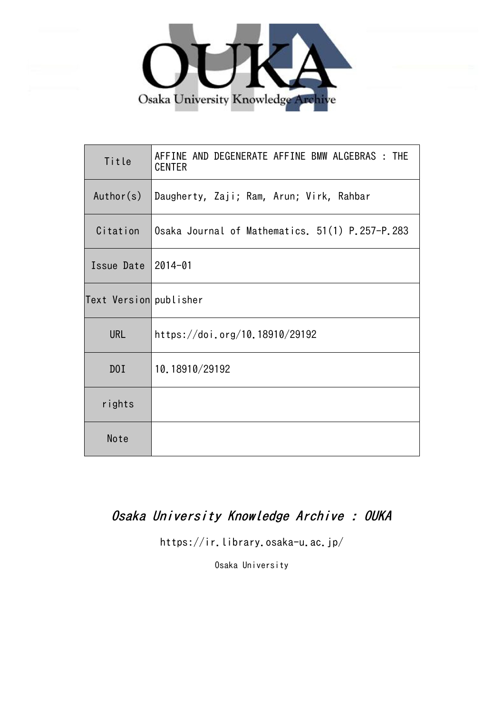

| Title                  | AFFINE AND DEGENERATE AFFINE BMW ALGEBRAS : THE<br><b>CENTER</b> |
|------------------------|------------------------------------------------------------------|
| Author(s)              | Daugherty, Zaji; Ram, Arun; Virk, Rahbar                         |
| Citation               | Osaka Journal of Mathematics. 51(1) P.257-P.283                  |
| Issue Date             | $2014 - 01$                                                      |
| Text Version publisher |                                                                  |
| <b>URL</b>             | https://doi.org/10.18910/29192                                   |
| D0I                    | 10.18910/29192                                                   |
| rights                 |                                                                  |
| Note                   |                                                                  |

# Osaka University Knowledge Archive : OUKA

https://ir.library.osaka-u.ac.jp/

Osaka University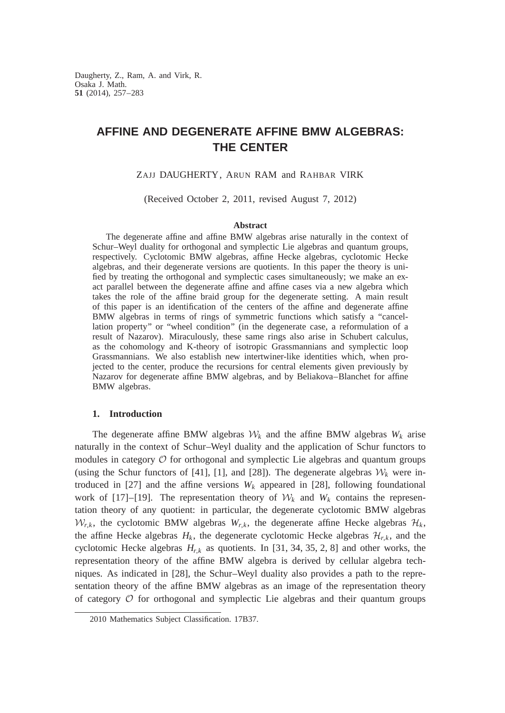Daugherty, Z., Ram, A. and Virk, R. Osaka J. Math. **51** (2014), 257–283

# **AFFINE AND DEGENERATE AFFINE BMW ALGEBRAS: THE CENTER**

## ZAJJ DAUGHERTY, ARUN RAM and RAHBAR VIRK

(Received October 2, 2011, revised August 7, 2012)

#### **Abstract**

The degenerate affine and affine BMW algebras arise naturally in the context of Schur–Weyl duality for orthogonal and symplectic Lie algebras and quantum groups, respectively. Cyclotomic BMW algebras, affine Hecke algebras, cyclotomic Hecke algebras, and their degenerate versions are quotients. In this paper the theory is unified by treating the orthogonal and symplectic cases simultaneously; we make an exact parallel between the degenerate affine and affine cases via a new algebra which takes the role of the affine braid group for the degenerate setting. A main result of this paper is an identification of the centers of the affine and degenerate affine BMW algebras in terms of rings of symmetric functions which satisfy a "cancellation property" or "wheel condition" (in the degenerate case, a reformulation of a result of Nazarov). Miraculously, these same rings also arise in Schubert calculus, as the cohomology and K-theory of isotropic Grassmannians and symplectic loop Grassmannians. We also establish new intertwiner-like identities which, when projected to the center, produce the recursions for central elements given previously by Nazarov for degenerate affine BMW algebras, and by Beliakova–Blanchet for affine BMW algebras.

#### **1. Introduction**

The degenerate affine BMW algebras  $W_k$  and the affine BMW algebras  $W_k$  arise naturally in the context of Schur–Weyl duality and the application of Schur functors to modules in category  $\mathcal O$  for orthogonal and symplectic Lie algebras and quantum groups (using the Schur functors of [41], [1], and [28]). The degenerate algebras  $W_k$  were introduced in [27] and the affine versions  $W_k$  appeared in [28], following foundational work of [17]–[19]. The representation theory of  $W_k$  and  $W_k$  contains the representation theory of any quotient: in particular, the degenerate cyclotomic BMW algebras  $W_{r,k}$ , the cyclotomic BMW algebras  $W_{r,k}$ , the degenerate affine Hecke algebras  $\mathcal{H}_k$ , the affine Hecke algebras  $H_k$ , the degenerate cyclotomic Hecke algebras  $H_{r,k}$ , and the cyclotomic Hecke algebras  $H_{r,k}$  as quotients. In [31, 34, 35, 2, 8] and other works, the representation theory of the affine BMW algebra is derived by cellular algebra techniques. As indicated in [28], the Schur–Weyl duality also provides a path to the representation theory of the affine BMW algebras as an image of the representation theory of category  $\mathcal O$  for orthogonal and symplectic Lie algebras and their quantum groups

<sup>2010</sup> Mathematics Subject Classification. 17B37.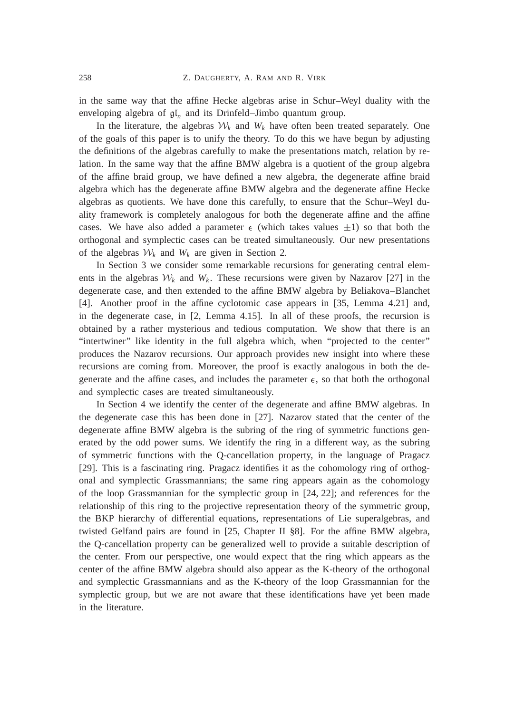in the same way that the affine Hecke algebras arise in Schur–Weyl duality with the enveloping algebra of gl*<sup>n</sup>* and its Drinfeld–Jimbo quantum group.

In the literature, the algebras  $W_k$  and  $W_k$  have often been treated separately. One of the goals of this paper is to unify the theory. To do this we have begun by adjusting the definitions of the algebras carefully to make the presentations match, relation by relation. In the same way that the affine BMW algebra is a quotient of the group algebra of the affine braid group, we have defined a new algebra, the degenerate affine braid algebra which has the degenerate affine BMW algebra and the degenerate affine Hecke algebras as quotients. We have done this carefully, to ensure that the Schur–Weyl duality framework is completely analogous for both the degenerate affine and the affine cases. We have also added a parameter  $\epsilon$  (which takes values  $\pm 1$ ) so that both the orthogonal and symplectic cases can be treated simultaneously. Our new presentations of the algebras  $W_k$  and  $W_k$  are given in Section 2.

In Section 3 we consider some remarkable recursions for generating central elements in the algebras  $W_k$  and  $W_k$ . These recursions were given by Nazarov [27] in the degenerate case, and then extended to the affine BMW algebra by Beliakova–Blanchet [4]. Another proof in the affine cyclotomic case appears in [35, Lemma 4.21] and, in the degenerate case, in [2, Lemma 4.15]. In all of these proofs, the recursion is obtained by a rather mysterious and tedious computation. We show that there is an "intertwiner" like identity in the full algebra which, when "projected to the center" produces the Nazarov recursions. Our approach provides new insight into where these recursions are coming from. Moreover, the proof is exactly analogous in both the degenerate and the affine cases, and includes the parameter  $\epsilon$ , so that both the orthogonal and symplectic cases are treated simultaneously.

In Section 4 we identify the center of the degenerate and affine BMW algebras. In the degenerate case this has been done in [27]. Nazarov stated that the center of the degenerate affine BMW algebra is the subring of the ring of symmetric functions generated by the odd power sums. We identify the ring in a different way, as the subring of symmetric functions with the Q-cancellation property, in the language of Pragacz [29]. This is a fascinating ring. Pragacz identifies it as the cohomology ring of orthogonal and symplectic Grassmannians; the same ring appears again as the cohomology of the loop Grassmannian for the symplectic group in [24, 22]; and references for the relationship of this ring to the projective representation theory of the symmetric group, the BKP hierarchy of differential equations, representations of Lie superalgebras, and twisted Gelfand pairs are found in [25, Chapter II §8]. For the affine BMW algebra, the Q-cancellation property can be generalized well to provide a suitable description of the center. From our perspective, one would expect that the ring which appears as the center of the affine BMW algebra should also appear as the K-theory of the orthogonal and symplectic Grassmannians and as the K-theory of the loop Grassmannian for the symplectic group, but we are not aware that these identifications have yet been made in the literature.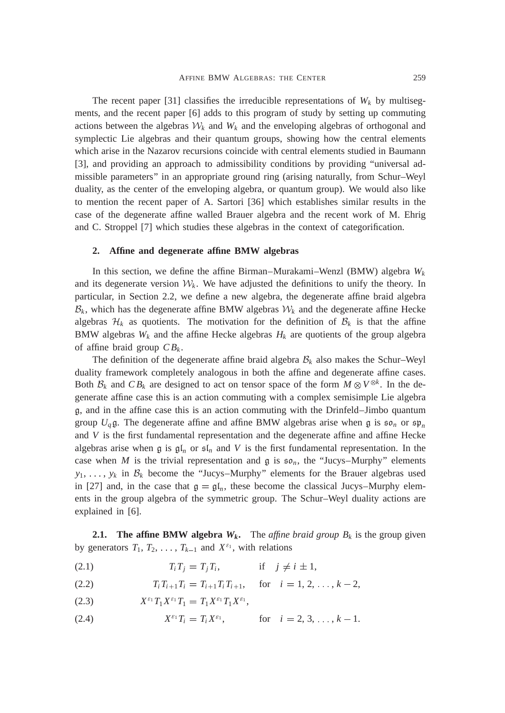The recent paper [31] classifies the irreducible representations of  $W_k$  by multisegments, and the recent paper [6] adds to this program of study by setting up commuting actions between the algebras  $W_k$  and  $W_k$  and the enveloping algebras of orthogonal and symplectic Lie algebras and their quantum groups, showing how the central elements which arise in the Nazarov recursions coincide with central elements studied in Baumann [3], and providing an approach to admissibility conditions by providing "universal admissible parameters" in an appropriate ground ring (arising naturally, from Schur–Weyl duality, as the center of the enveloping algebra, or quantum group). We would also like to mention the recent paper of A. Sartori [36] which establishes similar results in the case of the degenerate affine walled Brauer algebra and the recent work of M. Ehrig and C. Stroppel [7] which studies these algebras in the context of categorification.

#### **2. Affine and degenerate affine BMW algebras**

In this section, we define the affine Birman–Murakami–Wenzl (BMW) algebra  $W_k$ and its degenerate version  $\mathcal{W}_k$ . We have adjusted the definitions to unify the theory. In particular, in Section 2.2, we define a new algebra, the degenerate affine braid algebra  $\mathcal{B}_k$ , which has the degenerate affine BMW algebras  $\mathcal{W}_k$  and the degenerate affine Hecke algebras  $\mathcal{H}_k$  as quotients. The motivation for the definition of  $\mathcal{B}_k$  is that the affine BMW algebras  $W_k$  and the affine Hecke algebras  $H_k$  are quotients of the group algebra of affine braid group  $CB_k$ .

The definition of the degenerate affine braid algebra  $B_k$  also makes the Schur–Weyl duality framework completely analogous in both the affine and degenerate affine cases. Both  $\mathcal{B}_k$  and  $CB_k$  are designed to act on tensor space of the form  $M \otimes V^{\otimes k}$ . In the degenerate affine case this is an action commuting with a complex semisimple Lie algebra g, and in the affine case this is an action commuting with the Drinfeld–Jimbo quantum group  $U_q$ g. The degenerate affine and affine BMW algebras arise when g is  $\mathfrak{so}_n$  or  $\mathfrak{sp}_n$ and *V* is the first fundamental representation and the degenerate affine and affine Hecke algebras arise when g is  $\mathfrak{gl}_n$  or  $\mathfrak{sl}_n$  and V is the first fundamental representation. In the case when *M* is the trivial representation and  $\mathfrak g$  is  $\mathfrak{so}_n$ , the "Jucys–Murphy" elements  $y_1, \ldots, y_k$  in  $\mathcal{B}_k$  become the "Jucys-Murphy" elements for the Brauer algebras used in [27] and, in the case that  $\mathfrak{g} = \mathfrak{gl}_n$ , these become the classical Jucys–Murphy elements in the group algebra of the symmetric group. The Schur–Weyl duality actions are explained in [6].

**2.1.** The affine BMW algebra  $W_k$ . The *affine braid group*  $B_k$  is the group given by generators  $T_1, T_2, \ldots, T_{k-1}$  and  $X^{\varepsilon_1}$ , with relations

- (2.1)  $T_i T_j = T_j T_i$ , if  $j \neq i \pm 1$ ,
- $T_i T_{i+1} T_i = T_{i+1} T_i T_{i+1}, \quad \text{for} \quad i = 1, 2, \ldots, k-2,$
- $X^{\varepsilon_1}T_1X^{\varepsilon_1}T_1 = T_1X^{\varepsilon_1}T_1X^{\varepsilon_1},$
- (2.4)  $X^{\varepsilon_1}T_i = T_i X^{\varepsilon_1}$ , for  $i = 2, 3, ..., k 1$ .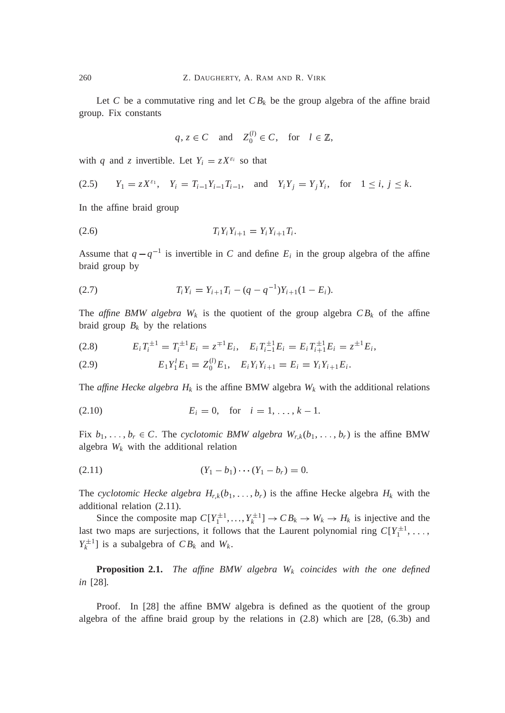Let *C* be a commutative ring and let  $CB_k$  be the group algebra of the affine braid group. Fix constants

$$
q, z \in C \quad \text{and} \quad Z_0^{(l)} \in C, \quad \text{for} \quad l \in \mathbb{Z},
$$

with *q* and *z* invertible. Let  $Y_i = zX^{\varepsilon_i}$  so that

$$
(2.5) \t Y_1 = zX^{\varepsilon_1}, \t Y_i = T_{i-1}Y_{i-1}T_{i-1}, \t \text{and} \t Y_iY_j = Y_jY_i, \t \text{for} \t 1 \le i, j \le k.
$$

In the affine braid group

$$
(2.6) \t\t T_i Y_i Y_{i+1} = Y_i Y_{i+1} T_i.
$$

Assume that  $q - q^{-1}$  is invertible in *C* and define  $E_i$  in the group algebra of the affine braid group by

$$
(2.7) \t\t T_i Y_i = Y_{i+1} T_i - (q - q^{-1}) Y_{i+1} (1 - E_i).
$$

The *affine BMW algebra*  $W_k$  is the quotient of the group algebra  $CB_k$  of the affine braid group  $B_k$  by the relations

$$
(2.8) \t E_i T_i^{\pm 1} = T_i^{\pm 1} E_i = z^{\mp 1} E_i, \quad E_i T_{i-1}^{\pm 1} E_i = E_i T_{i+1}^{\pm 1} E_i = z^{\pm 1} E_i,
$$

(2.9) 
$$
E_1 Y_1^l E_1 = Z_0^{(l)} E_1, \quad E_i Y_i Y_{i+1} = E_i = Y_i Y_{i+1} E_i.
$$

The *affine Hecke algebra*  $H_k$  is the affine BMW algebra  $W_k$  with the additional relations

(2.10) 
$$
E_i = 0
$$
, for  $i = 1, ..., k - 1$ .

Fix  $b_1, \ldots, b_r \in C$ . The *cyclotomic BMW algebra*  $W_{r,k}(b_1, \ldots, b_r)$  is the affine BMW algebra *W<sup>k</sup>* with the additional relation

$$
(2.11) \t\t\t (Y_1 - b_1) \cdots (Y_1 - b_r) = 0.
$$

The *cyclotomic Hecke algebra*  $H_{r,k}(b_1, \ldots, b_r)$  is the affine Hecke algebra  $H_k$  with the additional relation (2.11).

Since the composite map  $C[Y_1^{\pm 1},...,Y_k^{\pm 1}] \to CB_k \to W_k \to H_k$  is injective and the last two maps are surjections, it follows that the Laurent polynomial ring  $C[Y_1^{\pm 1}, \ldots,$  $Y_k^{\pm 1}$  is a subalgebra of  $CB_k$  and  $W_k$ .

**Proposition 2.1.** *The affine BMW algebra W<sup>k</sup> coincides with the one defined in* [28]*.*

Proof. In [28] the affine BMW algebra is defined as the quotient of the group algebra of the affine braid group by the relations in (2.8) which are [28, (6.3b) and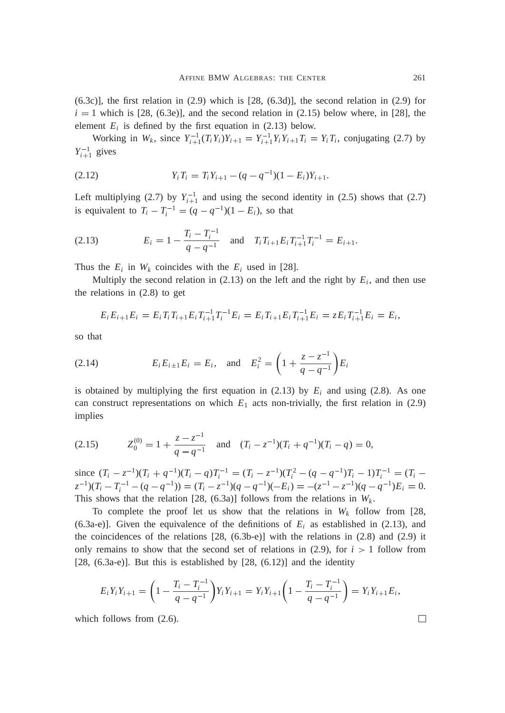$(6.3c)$ ], the first relation in  $(2.9)$  which is  $[28, (6.3d)]$ , the second relation in  $(2.9)$  for  $i = 1$  which is [28, (6.3e)], and the second relation in (2.15) below where, in [28], the element  $E_i$  is defined by the first equation in (2.13) below.

Working in  $W_k$ , since  $Y_{i+1}^{-1}(T_iY_i)Y_{i+1} = Y_{i+1}^{-1}Y_iY_{i+1}T_i = Y_iT_i$ , conjugating (2.7) by  $Y_{i+1}^{-1}$  gives

$$
(2.12) \t Y_i T_i = T_i Y_{i+1} - (q - q^{-1})(1 - E_i)Y_{i+1}.
$$

Left multiplying (2.7) by  $Y_{i+1}^{-1}$  and using the second identity in (2.5) shows that (2.7) is equivalent to  $T_i - T_i^{-1} = (q - q^{-1})(1 - E_i)$ , so that

(2.13) 
$$
E_i = 1 - \frac{T_i - T_i^{-1}}{q - q^{-1}} \text{ and } T_i T_{i+1} E_i T_{i+1}^{-1} T_i^{-1} = E_{i+1}.
$$

Thus the  $E_i$  in  $W_k$  coincides with the  $E_i$  used in [28].

Multiply the second relation in  $(2.13)$  on the left and the right by  $E_i$ , and then use the relations in (2.8) to get

$$
E_i E_{i+1} E_i = E_i T_i T_{i+1} E_i T_{i+1}^{-1} T_i^{-1} E_i = E_i T_{i+1} E_i T_{i+1}^{-1} E_i = z E_i T_{i+1}^{-1} E_i = E_i,
$$

so that

(2.14) 
$$
E_i E_{i \pm 1} E_i = E_i, \text{ and } E_i^2 = \left(1 + \frac{z - z^{-1}}{q - q^{-1}}\right) E_i
$$

is obtained by multiplying the first equation in  $(2.13)$  by  $E_i$  and using (2.8). As one can construct representations on which  $E_1$  acts non-trivially, the first relation in (2.9) implies

$$
(2.15) \t\t Z_0^{(0)} = 1 + \frac{z - z^{-1}}{q - q^{-1}} \quad \text{and} \quad (T_i - z^{-1})(T_i + q^{-1})(T_i - q) = 0,
$$

since  $(T_i - z^{-1})(T_i + q^{-1})(T_i - q)T_i^{-1} = (T_i - z^{-1})(T_i^2 - (q - q^{-1})T_i - 1)T_i^{-1} = (T_i - q^{-1})T_i^{-1}$  $\chi(z^{-1})(T_i - T_i^{-1} - (q - q^{-1})) = (T_i - z^{-1})(q - q^{-1})(-E_i) = -(z^{-1} - z^{-1})(q - q^{-1})E_i = 0.$ This shows that the relation [28, (6.3a)] follows from the relations in  $W_k$ .

To complete the proof let us show that the relations in  $W_k$  follow from [28, (6.3a-e)]. Given the equivalence of the definitions of  $E_i$  as established in (2.13), and the coincidences of the relations  $[28, (6.3b-e)]$  with the relations in  $(2.8)$  and  $(2.9)$  it only remains to show that the second set of relations in  $(2.9)$ , for  $i > 1$  follow from [28,  $(6.3a-e)$ ]. But this is established by [28,  $(6.12)$ ] and the identity

$$
E_i Y_i Y_{i+1} = \left(1 - \frac{T_i - T_i^{-1}}{q - q^{-1}}\right) Y_i Y_{i+1} = Y_i Y_{i+1} \left(1 - \frac{T_i - T_i^{-1}}{q - q^{-1}}\right) = Y_i Y_{i+1} E_i,
$$

which follows from  $(2.6)$ .

 $\Box$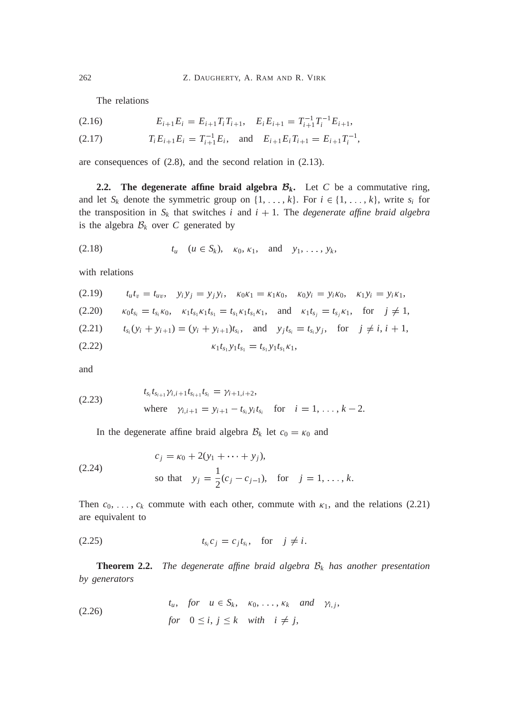The relations

$$
(2.16) \t E_{i+1}E_i = E_{i+1}T_iT_{i+1}, \quad E_iE_{i+1} = T_{i+1}^{-1}T_i^{-1}E_{i+1},
$$

$$
(2.17) \t\t T_i E_{i+1} E_i = T_{i+1}^{-1} E_i, \text{ and } E_{i+1} E_i T_{i+1} = E_{i+1} T_i^{-1},
$$

are consequences of (2.8), and the second relation in (2.13).

**2.2.** The degenerate affine braid algebra  $\mathcal{B}_k$ . Let *C* be a commutative ring, and let  $S_k$  denote the symmetric group on  $\{1, \ldots, k\}$ . For  $i \in \{1, \ldots, k\}$ , write  $s_i$  for the transposition in  $S_k$  that switches *i* and  $i + 1$ . The *degenerate affine braid algebra* is the algebra  $B_k$  over *C* generated by

(2.18) 
$$
t_u
$$
  $(u \in S_k)$ ,  $\kappa_0, \kappa_1$ , and  $y_1, \ldots, y_k$ ,

with relations

$$
(2.19) \t t_u t_v = t_{uv}, \t y_i y_j = y_j y_i, \t \kappa_0 \kappa_1 = \kappa_1 \kappa_0, \t \kappa_0 y_i = y_i \kappa_0, \t \kappa_1 y_i = y_i \kappa_1,
$$

$$
(2.20) \qquad \kappa_0 t_{s_i} = t_{s_i} \kappa_0, \quad \kappa_1 t_{s_1} \kappa_1 t_{s_1} = t_{s_1} \kappa_1 t_{s_1} \kappa_1, \quad \text{and} \quad \kappa_1 t_{s_j} = t_{s_j} \kappa_1, \quad \text{for} \quad j \neq 1,
$$

$$
(2.21) \t t_{s_i}(y_i + y_{i+1}) = (y_i + y_{i+1})t_{s_i}, \text{ and } y_jt_{s_i} = t_{s_i}y_j, \text{ for } j \neq i, i+1,
$$

$$
\kappa_1 t_{s_1} y_1 t_{s_1} = t_{s_1} y_1 t_{s_1} \kappa_1,
$$

and

(2.23) 
$$
t_{s_i}t_{s_{i+1}}\gamma_{i,i+1}t_{s_{i+1}}t_{s_i} = \gamma_{i+1,i+2},
$$
  
where  $\gamma_{i,i+1} = y_{i+1} - t_{s_i}y_it_{s_i}$  for  $i = 1, ..., k-2$ .

In the degenerate affine braid algebra  $B_k$  let  $c_0 = \kappa_0$  and

(2.24) 
$$
c_j = \kappa_0 + 2(y_1 + \dots + y_j),
$$
  
so that  $y_j = \frac{1}{2}(c_j - c_{j-1}),$  for  $j = 1, ..., k.$ 

Then  $c_0, \ldots, c_k$  commute with each other, commute with  $\kappa_1$ , and the relations (2.21) are equivalent to

$$
t_{s_i}c_j = c_jt_{s_i}, \quad \text{for} \quad j \neq i.
$$

**Theorem 2.2.** *The degenerate affine braid algebra* B*<sup>k</sup> has another presentation by generators*

(2.26) 
$$
t_u, \text{ for } u \in S_k, \kappa_0, \ldots, \kappa_k \text{ and } \gamma_{i,j},
$$

$$
\text{for } 0 \le i, j \le k \text{ with } i \ne j,
$$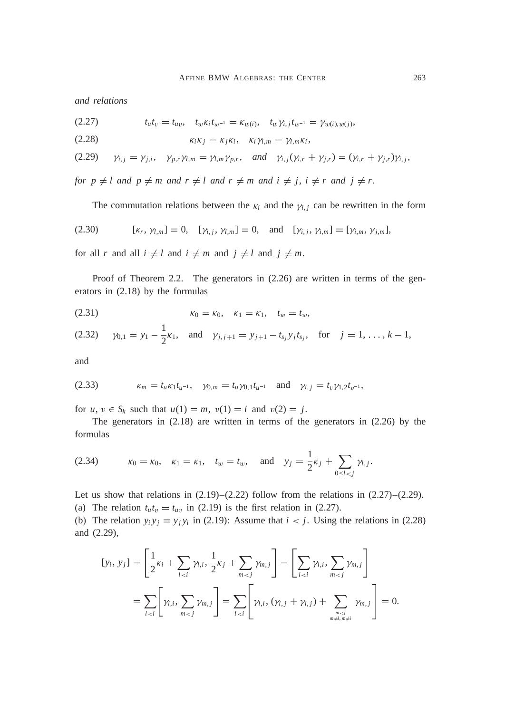*and relations*

$$
(2.27) \t t_u t_v = t_{uv}, \t t_w \kappa_i t_{w^{-1}} = \kappa_{w(i)}, \t t_w \gamma_{i,j} t_{w^{-1}} = \gamma_{w(i),w(j)},
$$

$$
\kappa_i \kappa_j = \kappa_j \kappa_i, \quad \kappa_i \gamma_{l,m} = \gamma_{l,m} \kappa_i,
$$

$$
(2.29) \quad \gamma_{i,j} = \gamma_{j,i}, \quad \gamma_{p,r} \gamma_{l,m} = \gamma_{l,m} \gamma_{p,r}, \quad \text{and} \quad \gamma_{i,j}(\gamma_{i,r} + \gamma_{j,r}) = (\gamma_{i,r} + \gamma_{j,r}) \gamma_{i,j},
$$

*for*  $p \neq l$  *and*  $p \neq m$  *and*  $r \neq l$  *and*  $r \neq m$  *and*  $i \neq j$ ,  $i \neq r$  *and*  $j \neq r$ .

The commutation relations between the  $\kappa_i$  and the  $\gamma_{i,j}$  can be rewritten in the form

(2.30) 
$$
[\kappa_r, \gamma_{l,m}] = 0, \quad [\gamma_{i,j}, \gamma_{l,m}] = 0, \quad \text{and} \quad [\gamma_{i,j}, \gamma_{i,m}] = [\gamma_{i,m}, \gamma_{j,m}],
$$

for all *r* and all  $i \neq l$  and  $i \neq m$  and  $j \neq l$  and  $j \neq m$ .

Proof of Theorem 2.2. The generators in  $(2.26)$  are written in terms of the generators in (2.18) by the formulas

(2.31) 
$$
\kappa_0 = \kappa_0, \quad \kappa_1 = \kappa_1, \quad t_w = t_w,
$$

(2.32) 
$$
\gamma_{0,1} = y_1 - \frac{1}{2}\kappa_1
$$
, and  $\gamma_{j,j+1} = y_{j+1} - t_{s_j}y_jt_{s_j}$ , for  $j = 1, ..., k-1$ ,

and

(2.33) 
$$
\kappa_m = t_u \kappa_1 t_{u^{-1}}, \quad \gamma_{0,m} = t_u \gamma_{0,1} t_{u^{-1}} \quad \text{and} \quad \gamma_{i,j} = t_v \gamma_{1,2} t_{v^{-1}},
$$

for *u*,  $v \in S_k$  such that  $u(1) = m$ ,  $v(1) = i$  and  $v(2) = j$ .

The generators in (2.18) are written in terms of the generators in (2.26) by the formulas

(2.34) 
$$
\kappa_0 = \kappa_0, \quad \kappa_1 = \kappa_1, \quad t_w = t_w, \quad \text{and} \quad y_j = \frac{1}{2}\kappa_j + \sum_{0 \le l < j} \gamma_{l,j}.
$$

Let us show that relations in  $(2.19)$ – $(2.22)$  follow from the relations in  $(2.27)$ – $(2.29)$ . (a) The relation  $t_u t_v = t_{uv}$  in (2.19) is the first relation in (2.27).

(b) The relation  $y_i y_j = y_j y_i$  in (2.19): Assume that  $i < j$ . Using the relations in (2.28) and (2.29),

$$
[y_i, y_j] = \left[\frac{1}{2}\kappa_i + \sum_{l < i} \gamma_{l,i}, \frac{1}{2}\kappa_j + \sum_{m < j} \gamma_{m,j}\right] = \left[\sum_{l < i} \gamma_{l,i}, \sum_{m < j} \gamma_{m,j}\right]
$$
\n
$$
= \sum_{l < i} \left[\gamma_{l,i}, \sum_{m < j} \gamma_{m,j}\right] = \sum_{l < i} \left[\gamma_{l,i}, (\gamma_{l,j} + \gamma_{i,j}) + \sum_{m < j \atop m \neq l, m \neq i} \gamma_{m,j}\right] = 0.
$$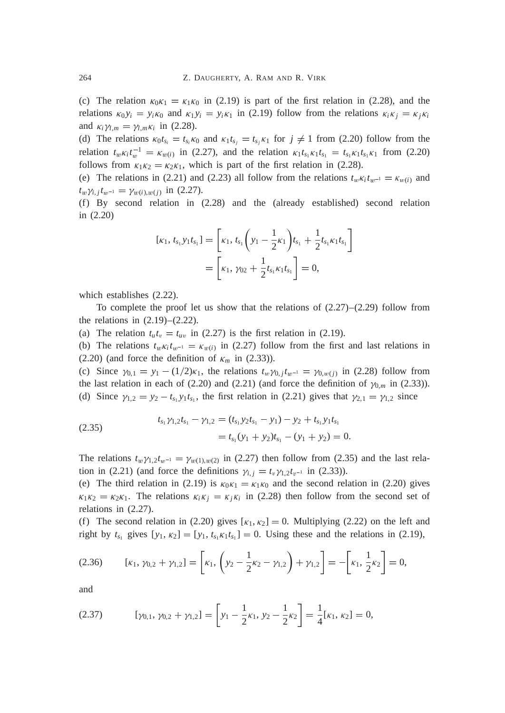(c) The relation  $\kappa_0 \kappa_1 = \kappa_1 \kappa_0$  in (2.19) is part of the first relation in (2.28), and the relations  $\kappa_0 y_i = y_i \kappa_0$  and  $\kappa_1 y_i = y_i \kappa_1$  in (2.19) follow from the relations  $\kappa_i \kappa_j = \kappa_j \kappa_i$ and  $\kappa_i \gamma_{l,m} = \gamma_{l,m} \kappa_i$  in (2.28).

(d) The relations  $\kappa_0 t_{s_i} = t_{s_i} \kappa_0$  and  $\kappa_1 t_{s_j} = t_{s_j} \kappa_1$  for  $j \neq 1$  from (2.20) follow from the relation  $t_w \kappa_i t_w^{-1} = \kappa_{w(i)}$  in (2.27), and the relation  $\kappa_1 t_{s_1} \kappa_1 t_{s_1} = t_{s_1} \kappa_1 t_{s_1} \kappa_1$  from (2.20) follows from  $\kappa_1 \kappa_2 = \kappa_2 \kappa_1$ , which is part of the first relation in (2.28).

(e) The relations in (2.21) and (2.23) all follow from the relations  $t_w \kappa_i t_{w^{-1}} = \kappa_{w(i)}$  and  $t_w \gamma_{i,j} t_{w^{-1}} = \gamma_{w(i),w(j)}$  in (2.27).

(f) By second relation in (2.28) and the (already established) second relation in (2.20)

$$
[\kappa_1, t_{s_1} y_1 t_{s_1}] = \left[\kappa_1, t_{s_1} \left(y_1 - \frac{1}{2} \kappa_1\right) t_{s_1} + \frac{1}{2} t_{s_1} \kappa_1 t_{s_1}\right]
$$
  
= 
$$
\left[\kappa_1, \gamma_{02} + \frac{1}{2} t_{s_1} \kappa_1 t_{s_1}\right] = 0,
$$

which establishes (2.22).

To complete the proof let us show that the relations of  $(2.27)$ – $(2.29)$  follow from the relations in  $(2.19)$ – $(2.22)$ .

(a) The relation  $t_u t_v = t_{uv}$  in (2.27) is the first relation in (2.19).

(b) The relations  $t_w \kappa_i t_{w^{-1}} = \kappa_{w(i)}$  in (2.27) follow from the first and last relations in  $(2.20)$  (and force the definition of  $\kappa_m$  in (2.33)).

(c) Since  $\gamma_{0,1} = y_1 - (1/2)\kappa_1$ , the relations  $t_w \gamma_{0,j} t_{w^{-1}} = \gamma_{0,w(j)}$  in (2.28) follow from the last relation in each of  $(2.20)$  and  $(2.21)$  (and force the definition of  $\gamma_{0,m}$  in  $(2.33)$ ). (d) Since  $\gamma_{1,2} = y_2 - t_{s_1} y_1 t_{s_1}$ , the first relation in (2.21) gives that  $\gamma_{2,1} = \gamma_{1,2}$  since

(2.35) 
$$
t_{s_1} \gamma_{1,2} t_{s_1} - \gamma_{1,2} = (t_{s_1} y_2 t_{s_1} - y_1) - y_2 + t_{s_1} y_1 t_{s_1}
$$

$$
= t_{s_1} (y_1 + y_2) t_{s_1} - (y_1 + y_2) = 0.
$$

The relations  $t_w \gamma_{1,2} t_{w^{-1}} = \gamma_{w(1),w(2)}$  in (2.27) then follow from (2.35) and the last relation in (2.21) (and force the definitions  $\gamma_{i,j} = t_v \gamma_{1,2} t_{v^{-1}}$  in (2.33)).

(e) The third relation in (2.19) is  $\kappa_0 \kappa_1 = \kappa_1 \kappa_0$  and the second relation in (2.20) gives  $\kappa_1 \kappa_2 = \kappa_2 \kappa_1$ . The relations  $\kappa_i \kappa_j = \kappa_j \kappa_i$  in (2.28) then follow from the second set of relations in (2.27).

(f) The second relation in (2.20) gives  $[\kappa_1, \kappa_2] = 0$ . Multiplying (2.22) on the left and right by  $t_{s_1}$  gives  $[y_1, \kappa_2] = [y_1, t_{s_1} \kappa_1 t_{s_1}] = 0$ . Using these and the relations in (2.19),

$$
(2.36) \qquad [\kappa_1, \gamma_{0,2} + \gamma_{1,2}] = \left[\kappa_1, \left(\gamma_2 - \frac{1}{2}\kappa_2 - \gamma_{1,2}\right) + \gamma_{1,2}\right] = -\left[\kappa_1, \frac{1}{2}\kappa_2\right] = 0,
$$

and

$$
(2.37) \t\t\t [ \gamma_{0,1}, \gamma_{0,2} + \gamma_{1,2} ] = \left[ y_1 - \frac{1}{2} \kappa_1, y_2 - \frac{1}{2} \kappa_2 \right] = \frac{1}{4} [\kappa_1, \kappa_2] = 0,
$$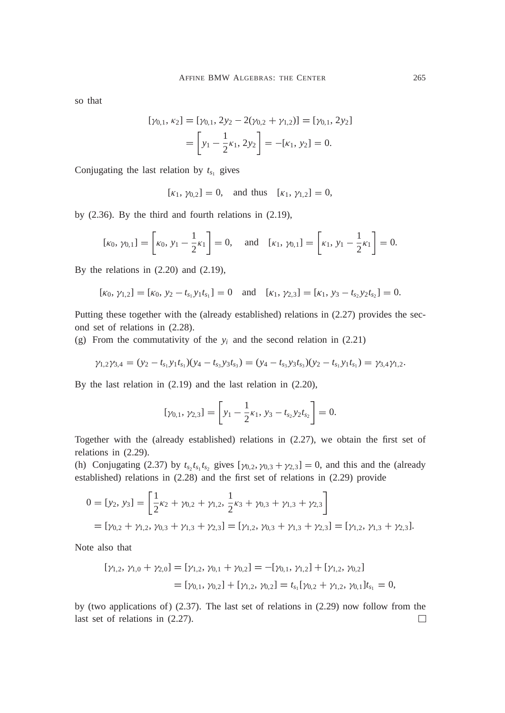so that

$$
[\gamma_{0,1}, \kappa_2] = [\gamma_{0,1}, 2y_2 - 2(\gamma_{0,2} + \gamma_{1,2})] = [\gamma_{0,1}, 2y_2]
$$
  
= 
$$
\left[ y_1 - \frac{1}{2} \kappa_1, 2y_2 \right] = -[\kappa_1, y_2] = 0.
$$

Conjugating the last relation by  $t_{s_1}$  gives

 $[\kappa_1, \gamma_{0,2}] = 0$ , and thus  $[\kappa_1, \gamma_{1,2}] = 0$ ,

by (2.36). By the third and fourth relations in (2.19),

$$
[\kappa_0, \gamma_{0,1}] = \begin{bmatrix} \kappa_0, y_1 - \frac{1}{2} \kappa_1 \end{bmatrix} = 0, \text{ and } [\kappa_1, \gamma_{0,1}] = \begin{bmatrix} \kappa_1, y_1 - \frac{1}{2} \kappa_1 \end{bmatrix} = 0.
$$

By the relations in (2.20) and (2.19),

$$
[\kappa_0, \gamma_{1,2}] = [\kappa_0, \gamma_2 - t_{s_1} y_1 t_{s_1}] = 0 \text{ and } [\kappa_1, \gamma_{2,3}] = [\kappa_1, \gamma_3 - t_{s_2} y_2 t_{s_2}] = 0.
$$

Putting these together with the (already established) relations in (2.27) provides the second set of relations in (2.28).

(g) From the commutativity of the  $y_i$  and the second relation in  $(2.21)$ 

$$
\gamma_{1,2}\gamma_{3,4}=(y_2-t_{s_1}y_1t_{s_1})(y_4-t_{s_3}y_3t_{s_3})=(y_4-t_{s_3}y_3t_{s_3})(y_2-t_{s_1}y_1t_{s_1})=\gamma_{3,4}\gamma_{1,2}.
$$

By the last relation in (2.19) and the last relation in (2.20),

$$
[\gamma_{0,1}, \gamma_{2,3}] = \left[ y_1 - \frac{1}{2} \kappa_1, y_3 - t_{s_2} y_2 t_{s_2} \right] = 0.
$$

Together with the (already established) relations in (2.27), we obtain the first set of relations in (2.29).

(h) Conjugating (2.37) by  $t_{s_2}t_{s_1}t_{s_2}$  gives  $[\gamma_{0,2}, \gamma_{0,3} + \gamma_{2,3}] = 0$ , and this and the (already established) relations in (2.28) and the first set of relations in (2.29) provide

$$
0 = [y_2, y_3] = \left[\frac{1}{2}\kappa_2 + \gamma_{0,2} + \gamma_{1,2}, \frac{1}{2}\kappa_3 + \gamma_{0,3} + \gamma_{1,3} + \gamma_{2,3}\right]
$$
  
=  $[\gamma_{0,2} + \gamma_{1,2}, \gamma_{0,3} + \gamma_{1,3} + \gamma_{2,3}] = [\gamma_{1,2}, \gamma_{0,3} + \gamma_{1,3} + \gamma_{2,3}] = [\gamma_{1,2}, \gamma_{1,3} + \gamma_{2,3}].$ 

Note also that

$$
[\gamma_{1,2}, \gamma_{1,0} + \gamma_{2,0}] = [\gamma_{1,2}, \gamma_{0,1} + \gamma_{0,2}] = -[\gamma_{0,1}, \gamma_{1,2}] + [\gamma_{1,2}, \gamma_{0,2}]
$$
  
=  $[\gamma_{0,1}, \gamma_{0,2}] + [\gamma_{1,2}, \gamma_{0,2}] = t_{s_1}[\gamma_{0,2} + \gamma_{1,2}, \gamma_{0,1}]t_{s_1} = 0,$ 

by (two applications of) (2.37). The last set of relations in (2.29) now follow from the last set of relations in (2.27). $\Box$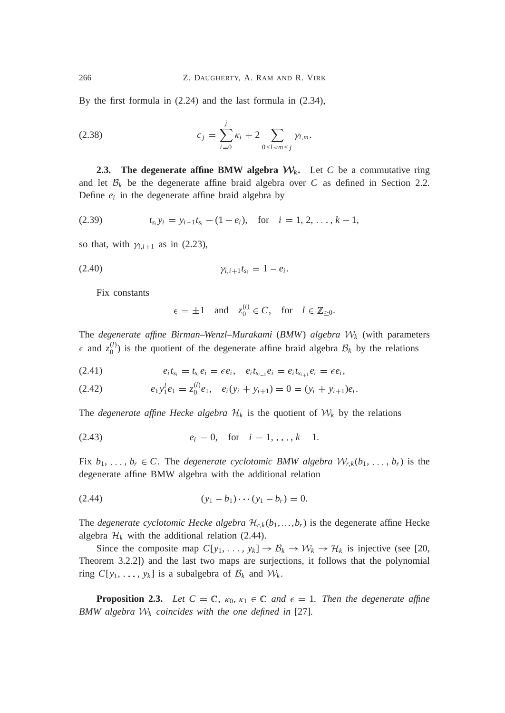By the first formula in (2.24) and the last formula in (2.34),

(2.38) 
$$
c_j = \sum_{i=0}^j \kappa_i + 2 \sum_{0 \le l < m \le j} \gamma_{l,m}.
$$

**2.3.** The degenerate affine BMW algebra  $W_k$ . Let *C* be a commutative ring and let  $\mathcal{B}_k$  be the degenerate affine braid algebra over C as defined in Section 2.2. Define  $e_i$  in the degenerate affine braid algebra by

$$
(2.39) \t t_{s_i} y_i = y_{i+1} t_{s_i} - (1 - e_i), \text{ for } i = 1, 2, \ldots, k - 1,
$$

so that, with  $\gamma_{i,i+1}$  as in (2.23),

$$
\gamma_{i,i+1}t_{s_i}=1-e_i.
$$

Fix constants

$$
\epsilon = \pm 1
$$
 and  $z_0^{(l)} \in C$ , for  $l \in \mathbb{Z}_{\geq 0}$ .

The *degenerate affine Birman–Wenzl–Murakami* (*BMW*) *algebra* W*<sup>k</sup>* (with parameters  $\epsilon$  and  $z_0^{(l)}$ ) is the quotient of the degenerate affine braid algebra  $\mathcal{B}_k$  by the relations

(2.41) 
$$
e_i t_{s_i} = t_{s_i} e_i = \epsilon e_i, \quad e_i t_{s_{i-1}} e_i = e_i t_{s_{i+1}} e_i = \epsilon e_i,
$$

(2.42) 
$$
e_1 y_1^l e_1 = z_0^{(l)} e_1, e_i (y_i + y_{i+1}) = 0 = (y_i + y_{i+1}) e_i.
$$

The *degenerate affine Hecke algebra*  $\mathcal{H}_k$  is the quotient of  $\mathcal{W}_k$  by the relations

(2.43) 
$$
e_i = 0
$$
, for  $i = 1, ..., k - 1$ .

Fix  $b_1, \ldots, b_r \in C$ . The *degenerate cyclotomic BMW algebra*  $W_{r,k}(b_1, \ldots, b_r)$  is the degenerate affine BMW algebra with the additional relation

$$
(2.44) \t\t\t (y1 - b1) \cdots (y1 - br) = 0.
$$

The *degenerate cyclotomic Hecke algebra*  $\mathcal{H}_{r,k}(b_1, \ldots, b_r)$  is the degenerate affine Hecke algebra  $\mathcal{H}_k$  with the additional relation (2.44).

Since the composite map  $C[y_1, \ldots, y_k] \to \mathcal{B}_k \to \mathcal{W}_k \to \mathcal{H}_k$  is injective (see [20, Theorem 3.2.2]) and the last two maps are surjections, it follows that the polynomial ring  $C[y_1, \ldots, y_k]$  is a subalgebra of  $\mathcal{B}_k$  and  $\mathcal{W}_k$ .

**Proposition 2.3.** Let  $C = \mathbb{C}$ ,  $\kappa_0$ ,  $\kappa_1 \in \mathbb{C}$  and  $\epsilon = 1$ . Then the degenerate affine *BMW algebra*  $W_k$  *coincides with the one defined in* [27]*.*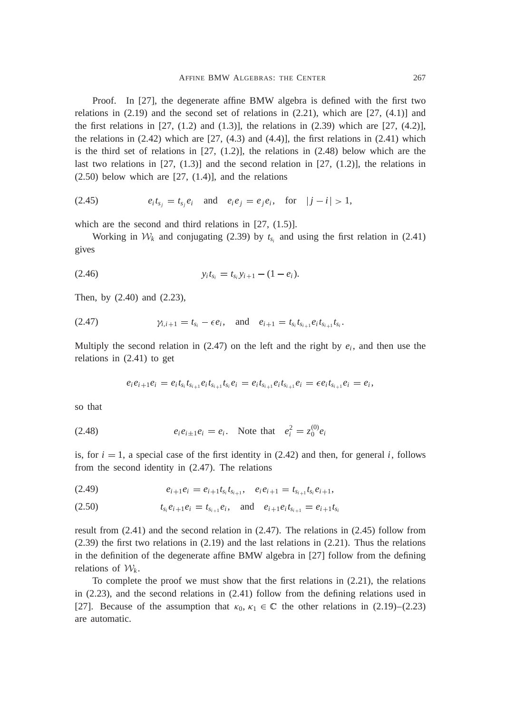Proof. In [27], the degenerate affine BMW algebra is defined with the first two relations in  $(2.19)$  and the second set of relations in  $(2.21)$ , which are  $[27, (4.1)]$  and the first relations in  $[27, (1.2)$  and  $(1.3)$ ], the relations in  $(2.39)$  which are  $[27, (4.2)]$ , the relations in  $(2.42)$  which are  $[27, (4.3)$  and  $(4.4)$ ], the first relations in  $(2.41)$  which is the third set of relations in  $[27, (1.2)]$ , the relations in  $(2.48)$  below which are the last two relations in  $[27, (1.3)]$  and the second relation in  $[27, (1.2)]$ , the relations in  $(2.50)$  below which are  $[27, (1.4)]$ , and the relations

(2.45) 
$$
e_i t_{s_j} = t_{s_j} e_i
$$
 and  $e_i e_j = e_j e_i$ , for  $|j - i| > 1$ ,

which are the second and third relations in [27, (1.5)].

Working in  $W_k$  and conjugating (2.39) by  $t_{s_i}$  and using the first relation in (2.41) gives

$$
(2.46) \t\t y_i t_{s_i} = t_{s_i} y_{i+1} - (1 - e_i).
$$

Then, by (2.40) and (2.23),

$$
(2.47) \t\t\t\t $\gamma_{i,i+1} = t_{s_i} - \epsilon e_i, \text{ and } e_{i+1} = t_{s_i} t_{s_{i+1}} e_i t_{s_{i+1}} t_{s_i}.$
$$

Multiply the second relation in  $(2.47)$  on the left and the right by  $e_i$ , and then use the relations in (2.41) to get

$$
e_i e_{i+1} e_i = e_i t_{s_i} t_{s_{i+1}} e_i t_{s_{i+1}} t_{s_i} e_i = e_i t_{s_{i+1}} e_i t_{s_{i+1}} e_i = \epsilon e_i t_{s_{i+1}} e_i = e_i,
$$

so that

(2.48) 
$$
e_i e_{i\pm 1} e_i = e_i
$$
. Note that  $e_i^2 = z_0^{(0)} e_i$ 

is, for  $i = 1$ , a special case of the first identity in  $(2.42)$  and then, for general *i*, follows from the second identity in (2.47). The relations

$$
(2.49) \t\t e_{i+1}e_i = e_{i+1}t_{s_i}t_{s_{i+1}}, \t e_i e_{i+1} = t_{s_{i+1}}t_{s_i}e_{i+1},
$$

$$
(2.50) \t\t t_{s_i}e_{i+1}e_i = t_{s_{i+1}}e_i, \text{ and } e_{i+1}e_i t_{s_{i+1}} = e_{i+1}t_{s_i}
$$

result from (2.41) and the second relation in (2.47). The relations in (2.45) follow from (2.39) the first two relations in (2.19) and the last relations in (2.21). Thus the relations in the definition of the degenerate affine BMW algebra in [27] follow from the defining relations of  $\mathcal{W}_k$ .

To complete the proof we must show that the first relations in (2.21), the relations in (2.23), and the second relations in (2.41) follow from the defining relations used in [27]. Because of the assumption that  $\kappa_0, \kappa_1 \in \mathbb{C}$  the other relations in (2.19)–(2.23) are automatic.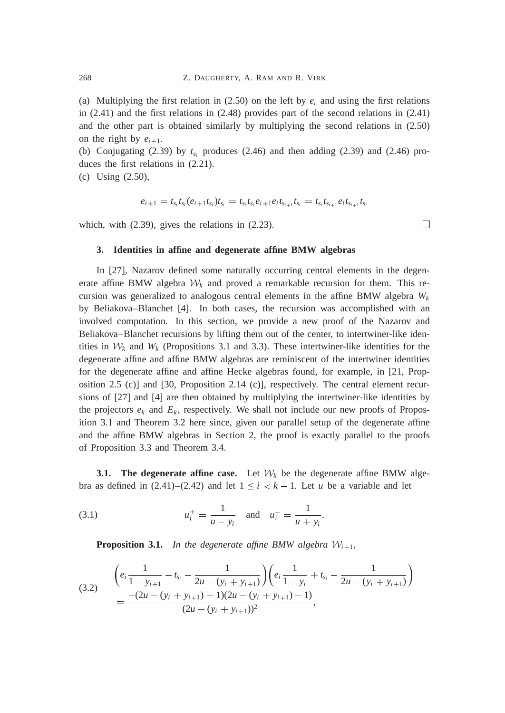(a) Multiplying the first relation in  $(2.50)$  on the left by  $e_i$  and using the first relations in (2.41) and the first relations in (2.48) provides part of the second relations in (2.41) and the other part is obtained similarly by multiplying the second relations in (2.50) on the right by  $e_{i+1}$ .

(b) Conjugating (2.39) by  $t_{s_i}$  produces (2.46) and then adding (2.39) and (2.46) produces the first relations in (2.21).

(c) Using (2.50),

$$
e_{i+1} = t_{s_i}t_{s_i}(e_{i+1}t_{s_i})t_{s_i} = t_{s_i}t_{s_i}e_{i+1}e_{i}t_{s_{i+1}}t_{s_i} = t_{s_i}t_{s_{i+1}}e_{i}t_{s_{i+1}}t_{s_i}
$$

which, with (2.39), gives the relations in (2.23).

#### **3. Identities in affine and degenerate affine BMW algebras**

In [27], Nazarov defined some naturally occurring central elements in the degenerate affine BMW algebra  $W_k$  and proved a remarkable recursion for them. This recursion was generalized to analogous central elements in the affine BMW algebra  $W_k$ by Beliakova–Blanchet [4]. In both cases, the recursion was accomplished with an involved computation. In this section, we provide a new proof of the Nazarov and Beliakova–Blanchet recursions by lifting them out of the center, to intertwiner-like identities in  $W_k$  and  $W_k$  (Propositions 3.1 and 3.3). These intertwiner-like identities for the degenerate affine and affine BMW algebras are reminiscent of the intertwiner identities for the degenerate affine and affine Hecke algebras found, for example, in [21, Proposition 2.5 (c)] and [30, Proposition 2.14 (c)], respectively. The central element recursions of [27] and [4] are then obtained by multiplying the intertwiner-like identities by the projectors  $e_k$  and  $E_k$ , respectively. We shall not include our new proofs of Proposition 3.1 and Theorem 3.2 here since, given our parallel setup of the degenerate affine and the affine BMW algebras in Section 2, the proof is exactly parallel to the proofs of Proposition 3.3 and Theorem 3.4.

**3.1.** The degenerate affine case. Let  $W_k$  be the degenerate affine BMW algebra as defined in  $(2.41)$ – $(2.42)$  and let  $1 \le i < k - 1$ . Let *u* be a variable and let

(3.1) 
$$
u_i^+ = \frac{1}{u - y_i}
$$
 and  $u_i^- = \frac{1}{u + y_i}$ .

**Proposition 3.1.** In the degenerate affine BMW algebra  $W_{i+1}$ ,

$$
(3.2) \quad \begin{aligned} \left(e_i \frac{1}{1 - y_{i+1}} - t_{s_i} - \frac{1}{2u - (y_i + y_{i+1})}\right) \left(e_i \frac{1}{1 - y_i} + t_{s_i} - \frac{1}{2u - (y_i + y_{i+1})}\right) \\ &= \frac{-(2u - (y_i + y_{i+1}) + 1)(2u - (y_i + y_{i+1}) - 1)}{(2u - (y_i + y_{i+1}))^2}, \end{aligned}
$$

 $\Box$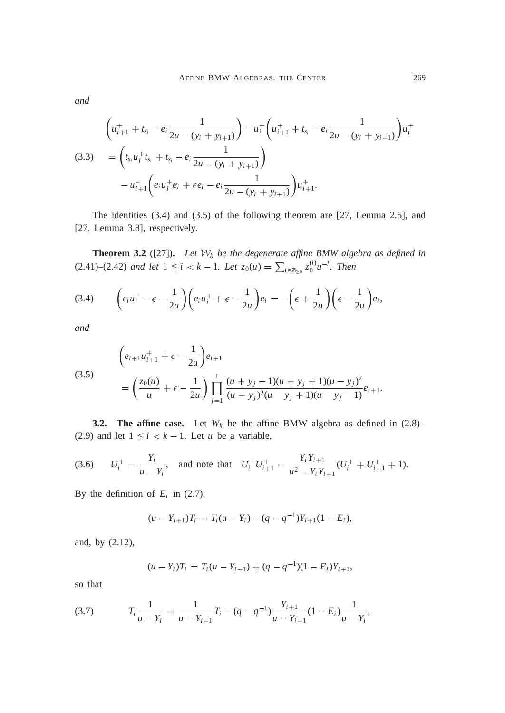*and*

$$
\begin{aligned}\n\left(u_{i+1}^+ + t_{s_i} - e_i \frac{1}{2u - (y_i + y_{i+1})}\right) - u_i^+ \left(u_{i+1}^+ + t_{s_i} - e_i \frac{1}{2u - (y_i + y_{i+1})}\right) u_i^+ \\
(3.3) \quad &= \left(t_{s_i} u_i^+ t_{s_i} + t_{s_i} - e_i \frac{1}{2u - (y_i + y_{i+1})}\right) \\
&\quad - u_{i+1}^+ \left(e_i u_i^+ e_i + \epsilon e_i - e_i \frac{1}{2u - (y_i + y_{i+1})}\right) u_{i+1}^+.\n\end{aligned}
$$

The identities (3.4) and (3.5) of the following theorem are [27, Lemma 2.5], and [27, Lemma 3.8], respectively.

**Theorem 3.2** ([27])**.** *Let* W*<sup>k</sup> be the degenerate affine BMW algebra as defined in*  $(2.41)$ – $(2.42)$  *and let*  $1 \le i < k - 1$ *. Let*  $z_0(u) = \sum_{l \in \mathbb{Z}_{\ge 0}} z_0^{(l)} u^{-l}$ *. Then* 

$$
(3.4) \qquad \left(e_i u_i^- - \epsilon - \frac{1}{2u}\right) \left(e_i u_i^+ + \epsilon - \frac{1}{2u}\right) e_i = -\left(\epsilon + \frac{1}{2u}\right) \left(\epsilon - \frac{1}{2u}\right) e_i,
$$

*and*

(3.5)  

$$
\left(e_{i+1}u_{i+1}^+ + \epsilon - \frac{1}{2u}\right)e_{i+1}
$$

$$
= \left(\frac{z_0(u)}{u} + \epsilon - \frac{1}{2u}\right)\prod_{j=1}^{i} \frac{(u+y_j-1)(u+y_j+1)(u-y_j)^2}{(u+y_j)^2(u-y_j+1)(u-y_j-1)}e_{i+1}.
$$

**3.2. The affine case.** Let  $W_k$  be the affine BMW algebra as defined in  $(2.8)$ – (2.9) and let  $1 \le i < k - 1$ . Let *u* be a variable,

(3.6) 
$$
U_i^+ = \frac{Y_i}{u - Y_i}
$$
, and note that  $U_i^+ U_{i+1}^+ = \frac{Y_i Y_{i+1}}{u^2 - Y_i Y_{i+1}} (U_i^+ + U_{i+1}^+ + 1)$ .

By the definition of  $E_i$  in (2.7),

$$
(u-Y_{i+1})T_i = T_i(u-Y_i) - (q - q^{-1})Y_{i+1}(1 - E_i),
$$

and, by (2.12),

$$
(u - Y_i)T_i = T_i(u - Y_{i+1}) + (q - q^{-1})(1 - E_i)Y_{i+1},
$$

so that

$$
(3.7) \t\t T_i \frac{1}{u - Y_i} = \frac{1}{u - Y_{i+1}} T_i - (q - q^{-1}) \frac{Y_{i+1}}{u - Y_{i+1}} (1 - E_i) \frac{1}{u - Y_i},
$$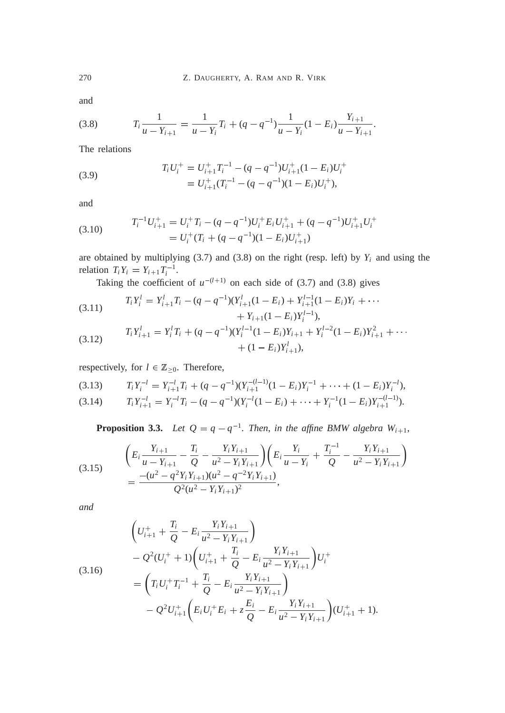and

$$
(3.8) \t\t T_i \frac{1}{u - Y_{i+1}} = \frac{1}{u - Y_i} T_i + (q - q^{-1}) \frac{1}{u - Y_i} (1 - E_i) \frac{Y_{i+1}}{u - Y_{i+1}}.
$$

The relations

(3.9) 
$$
T_i U_i^+ = U_{i+1}^+ T_i^{-1} - (q - q^{-1}) U_{i+1}^+ (1 - E_i) U_i^+
$$

$$
= U_{i+1}^+ (T_i^{-1} - (q - q^{-1})(1 - E_i) U_i^+),
$$

and

(3.10) 
$$
T_i^{-1}U_{i+1}^+ = U_i^+T_i - (q - q^{-1})U_i^+E_iU_{i+1}^+ + (q - q^{-1})U_{i+1}^+U_i^+
$$

$$
= U_i^+(T_i + (q - q^{-1})(1 - E_i)U_{i+1}^+)
$$

are obtained by multiplying  $(3.7)$  and  $(3.8)$  on the right (resp. left) by  $Y_i$  and using the relation  $T_i Y_i = Y_{i+1} T_i^{-1}$ .

Taking the coefficient of  $u^{-(l+1)}$  on each side of (3.7) and (3.8) gives

(3.11) 
$$
T_i Y_i^l = Y_{i+1}^l T_i - (q - q^{-1})(Y_{i+1}^l (1 - E_i) + Y_{i+1}^{l-1} (1 - E_i) Y_i + \cdots + Y_{i+1} (1 - E_i) Y_i^{l-1}),
$$

(3.12) 
$$
T_i Y_{i+1}^l = Y_i^l T_i + (q - q^{-1})(Y_i^{l-1}(1 - E_i)Y_{i+1} + Y_i^{l-2}(1 - E_i)Y_{i+1}^2 + \cdots + (1 - E_i)Y_{i+1}^l),
$$

respectively, for  $l \in \mathbb{Z}_{\geq 0}$ . Therefore,

$$
(3.13) \t T_i Y_i^{-l} = Y_{i+1}^{-l} T_i + (q - q^{-1})(Y_{i+1}^{-(l-1)}(1 - E_i)Y_i^{-1} + \cdots + (1 - E_i)Y_i^{-l}),
$$

$$
(3.14) \t T_i Y_{i+1}^{-1} = Y_i^{-1} T_i - (q - q^{-1}) (Y_i^{-1} (1 - E_i) + \cdots + Y_i^{-1} (1 - E_i) Y_{i+1}^{- (l-1)}).
$$

**Proposition 3.3.** Let  $Q = q - q^{-1}$ . Then, in the affine BMW algebra  $W_{i+1}$ ,

$$
(3.15) \qquad \begin{aligned} \left(E_i \frac{Y_{i+1}}{u - Y_{i+1}} - \frac{T_i}{Q} - \frac{Y_i Y_{i+1}}{u^2 - Y_i Y_{i+1}}\right) \left(E_i \frac{Y_i}{u - Y_i} + \frac{T_i^{-1}}{Q} - \frac{Y_i Y_{i+1}}{u^2 - Y_i Y_{i+1}}\right) \\ &= \frac{-(u^2 - q^2 Y_i Y_{i+1})(u^2 - q^{-2} Y_i Y_{i+1})}{Q^2 (u^2 - Y_i Y_{i+1})^2}, \end{aligned}
$$

*and*

$$
\left(U_{i+1}^{+} + \frac{T_i}{Q} - E_i \frac{Y_i Y_{i+1}}{u^2 - Y_i Y_{i+1}}\right)
$$
  
\n
$$
- Q^2 (U_i^+ + 1) \left(U_{i+1}^+ + \frac{T_i}{Q} - E_i \frac{Y_i Y_{i+1}}{u^2 - Y_i Y_{i+1}}\right) U_i^+
$$
  
\n
$$
= \left(T_i U_i^+ T_i^{-1} + \frac{T_i}{Q} - E_i \frac{Y_i Y_{i+1}}{u^2 - Y_i Y_{i+1}}\right)
$$
  
\n
$$
- Q^2 U_{i+1}^+ \left(E_i U_i^+ E_i + z \frac{E_i}{Q} - E_i \frac{Y_i Y_{i+1}}{u^2 - Y_i Y_{i+1}}\right) (U_{i+1}^+ + 1).
$$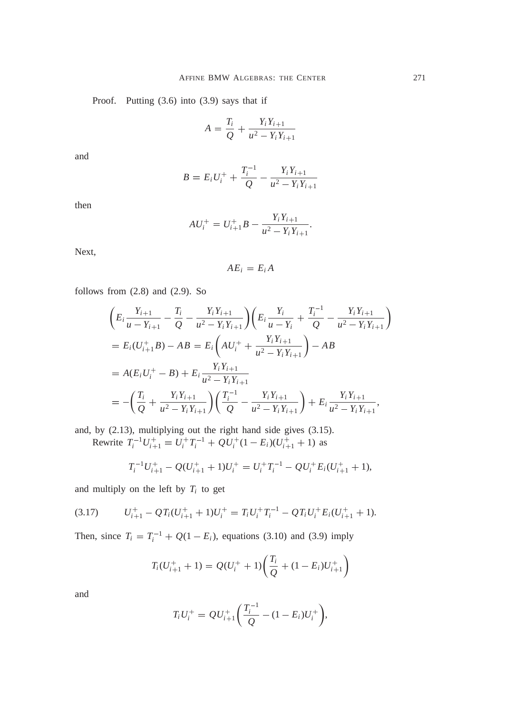Proof. Putting (3.6) into (3.9) says that if

$$
A = \frac{T_i}{Q} + \frac{Y_i Y_{i+1}}{u^2 - Y_i Y_{i+1}}
$$

and

$$
B = E_i U_i^+ + \frac{T_i^{-1}}{Q} - \frac{Y_i Y_{i+1}}{u^2 - Y_i Y_{i+1}}
$$

then

$$
AU_i^+ = U_{i+1}^+ B - \frac{Y_i Y_{i+1}}{u^2 - Y_i Y_{i+1}}.
$$

Next,

$$
AE_i = E_i A
$$

follows from  $(2.8)$  and  $(2.9)$ . So

$$
\begin{split}\n&\left(E_i \frac{Y_{i+1}}{u - Y_{i+1}} - \frac{T_i}{Q} - \frac{Y_i Y_{i+1}}{u^2 - Y_i Y_{i+1}}\right) \left(E_i \frac{Y_i}{u - Y_i} + \frac{T_i^{-1}}{Q} - \frac{Y_i Y_{i+1}}{u^2 - Y_i Y_{i+1}}\right) \\
&= E_i (U_{i+1}^+ B) - AB = E_i \left(A U_i^+ + \frac{Y_i Y_{i+1}}{u^2 - Y_i Y_{i+1}}\right) - AB \\
&= A(E_i U_i^+ - B) + E_i \frac{Y_i Y_{i+1}}{u^2 - Y_i Y_{i+1}} \\
&= -\left(\frac{T_i}{Q} + \frac{Y_i Y_{i+1}}{u^2 - Y_i Y_{i+1}}\right) \left(\frac{T_i^{-1}}{Q} - \frac{Y_i Y_{i+1}}{u^2 - Y_i Y_{i+1}}\right) + E_i \frac{Y_i Y_{i+1}}{u^2 - Y_i Y_{i+1}},\n\end{split}
$$

and, by (2.13), multiplying out the right hand side gives (3.15). Rewrite  $T_i^{-1}U_{i+1}^+ = U_i^+T_i^{-1} + QU_i^+(1 - E_i)(U_{i+1}^+ + 1)$  as

$$
T_i^{-1}U_{i+1}^+ - Q(U_{i+1}^+ + 1)U_i^+ = U_i^+T_i^{-1} - QU_i^+E_i(U_{i+1}^+ + 1),
$$

and multiply on the left by  $T_i$  to get

$$
(3.17) \tU_{i+1}^+ - QT_i(U_{i+1}^+ + 1)U_i^+ = T_iU_i^+T_i^{-1} - QT_iU_i^+E_i(U_{i+1}^+ + 1).
$$

Then, since  $T_i = T_i^{-1} + Q(1 - E_i)$ , equations (3.10) and (3.9) imply

$$
T_i(U_{i+1}^+ + 1) = Q(U_i^+ + 1) \left( \frac{T_i}{Q} + (1 - E_i)U_{i+1}^+ \right)
$$

and

$$
T_i U_i^+ = QU_{i+1}^+ \bigg( \frac{T_i^{-1}}{Q} - (1 - E_i) U_i^+ \bigg),
$$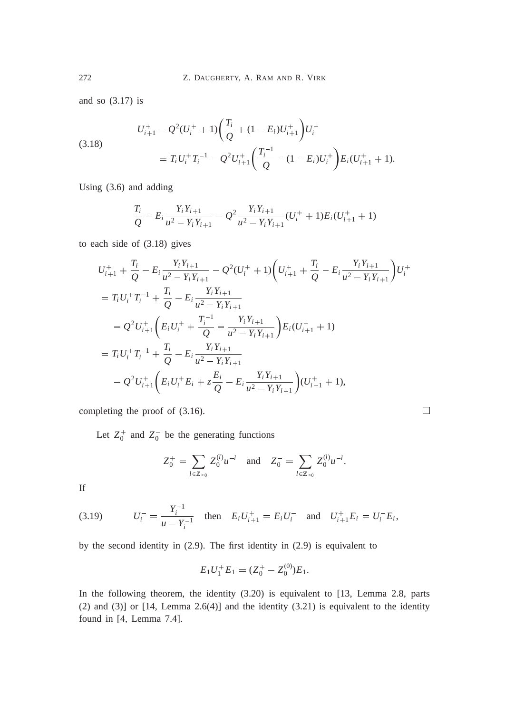and so (3.17) is

(3.18)  

$$
U_{i+1}^{+} - Q^{2}(U_{i}^{+} + 1) \left(\frac{T_{i}}{Q} + (1 - E_{i})U_{i+1}^{+}\right)U_{i}^{+}
$$

$$
= T_{i}U_{i}^{+}T_{i}^{-1} - Q^{2}U_{i+1}^{+}\left(\frac{T_{i}^{-1}}{Q} - (1 - E_{i})U_{i}^{+}\right)E_{i}(U_{i+1}^{+} + 1).
$$

Using (3.6) and adding

$$
\frac{T_i}{Q} - E_i \frac{Y_i Y_{i+1}}{u^2 - Y_i Y_{i+1}} - Q^2 \frac{Y_i Y_{i+1}}{u^2 - Y_i Y_{i+1}} (U_i^+ + 1) E_i (U_{i+1}^+ + 1)
$$

to each side of (3.18) gives

$$
U_{i+1}^{+} + \frac{T_i}{Q} - E_i \frac{Y_i Y_{i+1}}{u^2 - Y_i Y_{i+1}} - Q^2 (U_i^+ + 1) \left( U_{i+1}^+ + \frac{T_i}{Q} - E_i \frac{Y_i Y_{i+1}}{u^2 - Y_i Y_{i+1}} \right) U_i^+
$$
  
\n
$$
= T_i U_i^+ T_i^{-1} + \frac{T_i}{Q} - E_i \frac{Y_i Y_{i+1}}{u^2 - Y_i Y_{i+1}}
$$
  
\n
$$
- Q^2 U_{i+1}^+ \left( E_i U_i^+ + \frac{T_i^{-1}}{Q} - \frac{Y_i Y_{i+1}}{u^2 - Y_i Y_{i+1}} \right) E_i (U_{i+1}^+ + 1)
$$
  
\n
$$
= T_i U_i^+ T_i^{-1} + \frac{T_i}{Q} - E_i \frac{Y_i Y_{i+1}}{u^2 - Y_i Y_{i+1}}
$$
  
\n
$$
- Q^2 U_{i+1}^+ \left( E_i U_i^+ E_i + z \frac{E_i}{Q} - E_i \frac{Y_i Y_{i+1}}{u^2 - Y_i Y_{i+1}} \right) (U_{i+1}^+ + 1),
$$

completing the proof of (3.16).

Let  $Z_0^+$  and  $Z_0^-$  be the generating functions

$$
Z_0^+ = \sum_{l \in \mathbb{Z}_{\geq 0}} Z_0^{(l)} u^{-l} \quad \text{and} \quad Z_0^- = \sum_{l \in \mathbb{Z}_{\geq 0}} Z_0^{(l)} u^{-l}.
$$

 $\Box$ 

If

(3.19) 
$$
U_i^- = \frac{Y_i^{-1}}{u - Y_i^{-1}} \text{ then } E_i U_{i+1}^+ = E_i U_i^- \text{ and } U_{i+1}^+ E_i = U_i^- E_i,
$$

by the second identity in (2.9). The first identity in (2.9) is equivalent to

$$
E_1U_1^+E_1=(Z_0^+-Z_0^{(0)})E_1.
$$

In the following theorem, the identity (3.20) is equivalent to [13, Lemma 2.8, parts (2) and (3)] or  $[14,$  Lemma 2.6(4)] and the identity  $(3.21)$  is equivalent to the identity found in [4, Lemma 7.4].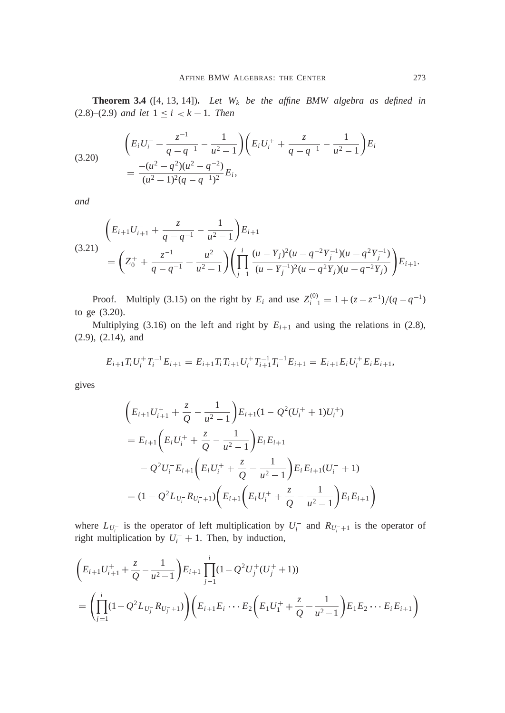**Theorem 3.4** ([4, 13, 14])**.** *Let W<sup>k</sup> be the affine BMW algebra as defined in*  $(2.8)–(2.9)$  *and let*  $1 \le i \le k-1$ *. Then* 

(3.20) 
$$
\left(E_i U_i^- - \frac{z^{-1}}{q - q^{-1}} - \frac{1}{u^2 - 1}\right) \left(E_i U_i^+ + \frac{z}{q - q^{-1}} - \frac{1}{u^2 - 1}\right) E_i
$$

$$
= \frac{-(u^2 - q^2)(u^2 - q^{-2})}{(u^2 - 1)^2 (q - q^{-1})^2} E_i,
$$

*and*

$$
(3.21) \qquad \left(E_{i+1}U_{i+1}^+ + \frac{z}{q-q^{-1}} - \frac{1}{u^2-1}\right)E_{i+1}
$$
\n
$$
= \left(Z_0^+ + \frac{z^{-1}}{q-q^{-1}} - \frac{u^2}{u^2-1}\right) \left(\prod_{j=1}^i \frac{(u-Y_j)^2(u-q^{-2}Y_j^{-1})(u-q^2Y_j^{-1})}{(u-Y_j^{-1})^2(u-q^2Y_j)(u-q^{-2}Y_j)}\right)E_{i+1}.
$$

Proof. Multiply (3.15) on the right by  $E_i$  and use  $Z_{i-1}^{(0)} = 1 + (z - z^{-1})/(q - q^{-1})$ to ge (3.20).

Multiplying (3.16) on the left and right by  $E_{i+1}$  and using the relations in (2.8), (2.9), (2.14), and

$$
E_{i+1}T_iU_i^+T_i^{-1}E_{i+1}=E_{i+1}T_iT_{i+1}U_i^+T_{i+1}^{-1}T_i^{-1}E_{i+1}=E_{i+1}E_iU_i^+E_iE_{i+1},
$$

gives

$$
\begin{aligned}\n&\left(E_{i+1}U_{i+1}^+ + \frac{z}{Q} - \frac{1}{u^2 - 1}\right)E_{i+1}(1 - Q^2(U_i^+ + 1)U_i^+) \\
&= E_{i+1}\left(E_iU_i^+ + \frac{z}{Q} - \frac{1}{u^2 - 1}\right)E_iE_{i+1} \\
&- Q^2U_i^-E_{i+1}\left(E_iU_i^+ + \frac{z}{Q} - \frac{1}{u^2 - 1}\right)E_iE_{i+1}(U_i^- + 1) \\
&= (1 - Q^2L_{U_i^-}R_{U_i^- + 1})\left(E_{i+1}\left(E_iU_i^+ + \frac{z}{Q} - \frac{1}{u^2 - 1}\right)E_iE_{i+1}\right)\n\end{aligned}
$$

where  $L_{U_i^-}$  is the operator of left multiplication by  $U_i^-$  and  $R_{U_i^-+1}$  is the operator of right multiplication by  $U_i^- + 1$ . Then, by induction,

$$
\left(E_{i+1}U_{i+1}^+ + \frac{z}{Q} - \frac{1}{u^2 - 1}\right)E_{i+1}\prod_{j=1}^i (1 - Q^2U_j^+(U_j^+) + 1))
$$
\n
$$
= \left(\prod_{j=1}^i (1 - Q^2L_{U_j^-}R_{U_j^-+1})\right)\left(E_{i+1}E_i\cdots E_2\left(E_1U_1^+ + \frac{z}{Q} - \frac{1}{u^2 - 1}\right)E_1E_2\cdots E_iE_{i+1}\right)
$$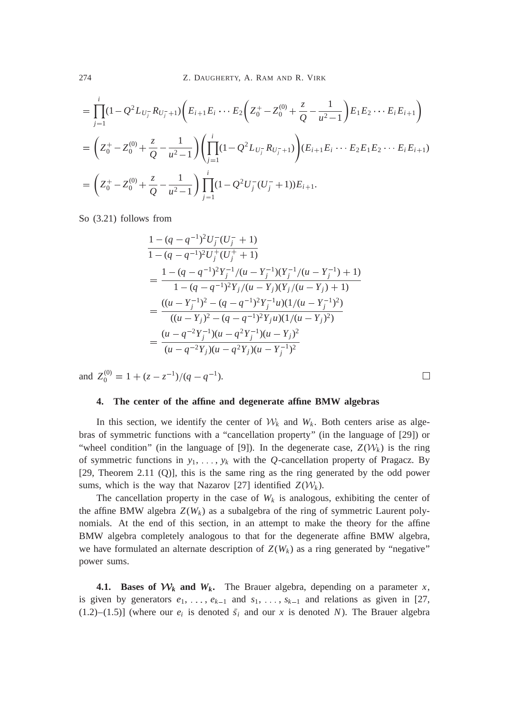$$
= \prod_{j=1}^{i} (1 - Q^2 L_{U_j^-} R_{U_j^- + 1}) \left( E_{i+1} E_i \cdots E_2 \left( Z_0^+ - Z_0^{(0)} + \frac{z}{Q} - \frac{1}{u^2 - 1} \right) E_1 E_2 \cdots E_i E_{i+1} \right)
$$
  
\n
$$
= \left( Z_0^+ - Z_0^{(0)} + \frac{z}{Q} - \frac{1}{u^2 - 1} \right) \left( \prod_{j=1}^{i} (1 - Q^2 L_{U_j^-} R_{U_j^- + 1}) \right) (E_{i+1} E_i \cdots E_2 E_1 E_2 \cdots E_i E_{i+1})
$$
  
\n
$$
= \left( Z_0^+ - Z_0^{(0)} + \frac{z}{Q} - \frac{1}{u^2 - 1} \right) \prod_{j=1}^{i} (1 - Q^2 U_j^- (U_j^- + 1)) E_{i+1}.
$$

So (3.21) follows from

$$
\begin{split} &\frac{1-(q-q^{-1})^2U_j^-(U_j^-+1)}{1-(q-q^{-1})^2U_j^+(U_j^++1)}\\ &=\frac{1-(q-q^{-1})^2Y_j^{-1}/(u-Y_j^{-1})(Y_j^{-1}/(u-Y_j^{-1})+1)}{1-(q-q^{-1})^2Y_j/(u-Y_j)(Y_j/(u-Y_j)+1)}\\ &=\frac{((u-Y_j^{-1})^2-(q-q^{-1})^2Y_j^{-1}u)(1/(u-Y_j^{-1})^2)}{((u-Y_j)^2-(q-q^{-1})^2Y_ju)(1/(u-Y_j)^2)}\\ &=\frac{(u-q^{-2}Y_j^{-1})(u-q^2Y_j^{-1})(u-Y_j)^2}{(u-q^{-2}Y_j)(u-q^2Y_j)(u-Y_j^{-1})^2} \end{split}
$$

and  $Z_0^{(0)} = 1 + (z - z^{-1})/(q - q^{-1}).$ 

## **4. The center of the affine and degenerate affine BMW algebras**

In this section, we identify the center of  $W_k$  and  $W_k$ . Both centers arise as algebras of symmetric functions with a "cancellation property" (in the language of [29]) or "wheel condition" (in the language of [9]). In the degenerate case,  $Z(\mathcal{W}_k)$  is the ring of symmetric functions in  $y_1, \ldots, y_k$  with the *Q*-cancellation property of Pragacz. By [29, Theorem 2.11 (Q)], this is the same ring as the ring generated by the odd power sums, which is the way that Nazarov [27] identified  $Z(\mathcal{W}_k)$ .

 $\Box$ 

The cancellation property in the case of  $W_k$  is analogous, exhibiting the center of the affine BMW algebra  $Z(W_k)$  as a subalgebra of the ring of symmetric Laurent polynomials. At the end of this section, in an attempt to make the theory for the affine BMW algebra completely analogous to that for the degenerate affine BMW algebra, we have formulated an alternate description of  $Z(W_k)$  as a ring generated by "negative" power sums.

**4.1.** Bases of  $W_k$  and  $W_k$ . The Brauer algebra, depending on a parameter *x*, is given by generators  $e_1, \ldots, e_{k-1}$  and  $s_1, \ldots, s_{k-1}$  and relations as given in [27,  $(1.2)$ – $(1.5)$ ] (where our  $e_i$  is denoted  $\bar{s}_i$  and our *x* is denoted *N*). The Brauer algebra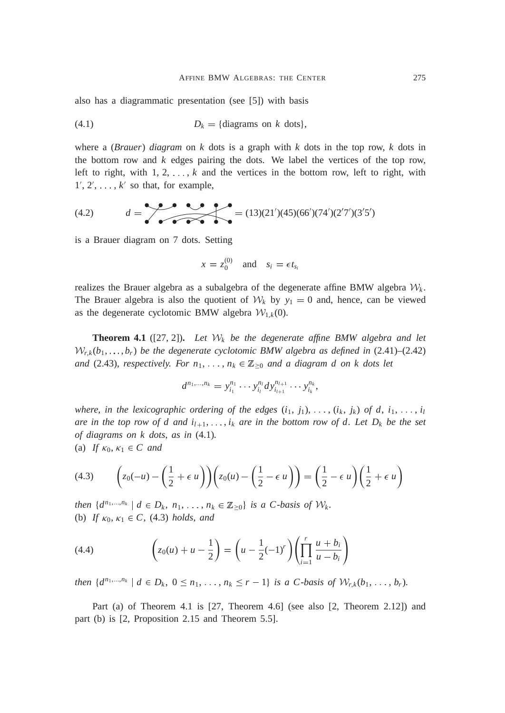also has a diagrammatic presentation (see [5]) with basis

$$
(4.1) \t\t D_k = \{\text{diagrams on } k \text{ dots}\},\
$$

where a (*Brauer*) *diagram* on *k* dots is a graph with *k* dots in the top row, *k* dots in the bottom row and *k* edges pairing the dots. We label the vertices of the top row, left to right, with  $1, 2, \ldots, k$  and the vertices in the bottom row, left to right, with  $1', 2', \ldots, k'$  so that, for example,

$$
(4.2) \t d = \t{13(21')(45)(66')(74')(2'7')(3'5')}
$$

is a Brauer diagram on 7 dots. Setting

$$
x = z_0^{(0)} \quad \text{and} \quad s_i = \epsilon t_{s_i}
$$

realizes the Brauer algebra as a subalgebra of the degenerate affine BMW algebra  $W_k$ . The Brauer algebra is also the quotient of  $W_k$  by  $y_1 = 0$  and, hence, can be viewed as the degenerate cyclotomic BMW algebra  $W_{1,k}(0)$ .

**Theorem 4.1** ([27, 2]). Let  $W_k$  be the degenerate affine BMW algebra and let  $W_{r,k}(b_1,\ldots,b_r)$  be the degenerate cyclotomic BMW algebra as defined in  $(2.41)$ – $(2.42)$ *and* (2.43), *respectively. For*  $n_1, \ldots, n_k \in \mathbb{Z}_{\geq 0}$  *and a diagram d on k dots let* 

$$
d^{n_1,\ldots,n_k}=y_{i_1}^{n_1}\cdots y_{i_l}^{n_l}dy_{i_{l+1}}^{n_{l+1}}\cdots y_{i_k}^{n_k},
$$

*where, in the lexicographic ordering of the edges*  $(i_1, j_1), \ldots, (i_k, j_k)$  of d,  $i_1, \ldots, i_l$ *are in the top row of d and*  $i_{l+1}, \ldots, i_k$  *are in the bottom row of d. Let*  $D_k$  *be the set of diagrams on k dots*, *as in* (4.1)*.* (a) *If*  $\kappa_0, \kappa_1 \in C$  *and* 

$$
(4.3) \qquad \left(z_0(-u) - \left(\frac{1}{2} + \epsilon u\right)\right)\left(z_0(u) - \left(\frac{1}{2} - \epsilon u\right)\right) = \left(\frac{1}{2} - \epsilon u\right)\left(\frac{1}{2} + \epsilon u\right)
$$

*then*  $\{d^{n_1,...,n_k} \mid d \in D_k, n_1,...,n_k \in \mathbb{Z}_{\geq 0}\}$  *is a C-basis of*  $W_k$ . (b) *If*  $\kappa_0, \kappa_1 \in C$ , (4.3) *holds*, *and* 

(4.4) 
$$
\left(z_0(u) + u - \frac{1}{2}\right) = \left(u - \frac{1}{2}(-1)^r\right)\left(\prod_{i=1}^r \frac{u + b_i}{u - b_i}\right)
$$

then  $\{d^{n_1,...,n_k} \mid d \in D_k, 0 \leq n_1,..., n_k \leq r-1\}$  is a C-basis of  $W_{r,k}(b_1,...,b_r)$ .

Part (a) of Theorem 4.1 is [27, Theorem 4.6] (see also [2, Theorem 2.12]) and part (b) is [2, Proposition 2.15 and Theorem 5.5].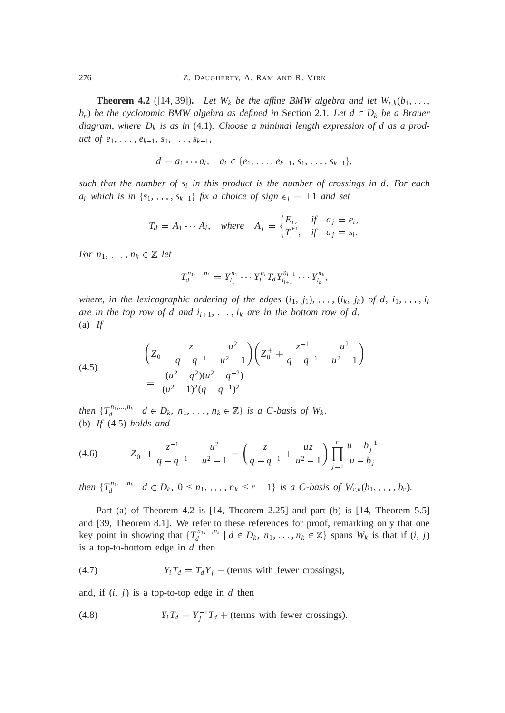**Theorem 4.2** ([14, 39]). Let  $W_k$  be the affine BMW algebra and let  $W_{r,k}(b_1, \ldots, b_k)$  $b_r$ ) *be the cyclotomic BMW algebra as defined in* Section 2.1*. Let*  $d \in D_k$  *be a Brauer diagram*, *where D<sup>k</sup> is as in* (4.1)*. Choose a minimal length expression of d as a product of e*<sub>1</sub>,  $\ldots$ ,  $e_{k-1}$ ,  $s_1$ ,  $\ldots$ ,  $s_{k-1}$ ,

$$
d = a_1 \cdots a_l, \quad a_i \in \{e_1, \ldots, e_{k-1}, s_1, \ldots, s_{k-1}\},
$$

*such that the number of s<sup>i</sup> in this product is the number of crossings in d. For each a*<sub>*i*</sub> *which is in*  $\{s_1, \ldots, s_{k-1}\}$  *fix a choice of sign*  $\epsilon_j = \pm 1$  *and set* 

$$
T_d = A_1 \cdots A_l, \quad \text{where} \quad A_j = \begin{cases} E_i, & \text{if} \quad a_j = e_i, \\ T_i^{\epsilon_j}, & \text{if} \quad a_j = s_i. \end{cases}
$$

*For*  $n_1$ , ...,  $n_k \in \mathbb{Z}$  *let* 

$$
T_d^{n_1,\ldots,n_k}=Y_{i_1}^{n_1}\cdots Y_{i_l}^{n_l}T_dY_{i_{l+1}}^{n_{l+1}}\cdots Y_{i_k}^{n_k},
$$

*where*, *in the lexicographic ordering of the edges*  $(i_1, j_1), \ldots, (i_k, j_k)$  *of d*,  $i_1, \ldots, i_l$ *are in the top row of d and*  $i_{l+1}, \ldots, i_k$  *are in the bottom row of d.* (a) *If*

(4.5)  

$$
\left(Z_0^- - \frac{z}{q - q^{-1}} - \frac{u^2}{u^2 - 1}\right)\left(Z_0^+ + \frac{z^{-1}}{q - q^{-1}} - \frac{u^2}{u^2 - 1}\right)
$$

$$
= \frac{-(u^2 - q^2)(u^2 - q^{-2})}{(u^2 - 1)^2(q - q^{-1})^2}
$$

*then*  $\{T_d^{n_1,...,n_k} \mid d \in D_k, n_1,...,n_k \in \mathbb{Z}\}$  *is a C-basis of W<sub>k</sub>*. (b) *If* (4.5) *holds and*

$$
(4.6) \t\t Z_0^+ + \frac{z^{-1}}{q - q^{-1}} - \frac{u^2}{u^2 - 1} = \left(\frac{z}{q - q^{-1}} + \frac{uz}{u^2 - 1}\right) \prod_{j=1}^r \frac{u - b_j^{-1}}{u - b_j}
$$

then  $\{T_d^{n_1,...,n_k} \mid d \in D_k, 0 \leq n_1,..., n_k \leq r-1\}$  is a C-basis of  $W_{r,k}(b_1,...,b_r)$ .

Part (a) of Theorem 4.2 is [14, Theorem 2.25] and part (b) is [14, Theorem 5.5] and [39, Theorem 8.1]. We refer to these references for proof, remarking only that one key point in showing that  $\{T_d^{n_1,\dots,n_k} \mid d \in D_k, n_1, \dots, n_k \in \mathbb{Z}\}$  spans  $W_k$  is that if  $(i, j)$ is a top-to-bottom edge in *d* then

(4.7) 
$$
Y_i T_d = T_d Y_j + \text{(terms with fewer crossings)},
$$

and, if  $(i, j)$  is a top-to-top edge in  $d$  then

(4.8) 
$$
Y_i T_d = Y_j^{-1} T_d + \text{(terms with fewer crossings)}.
$$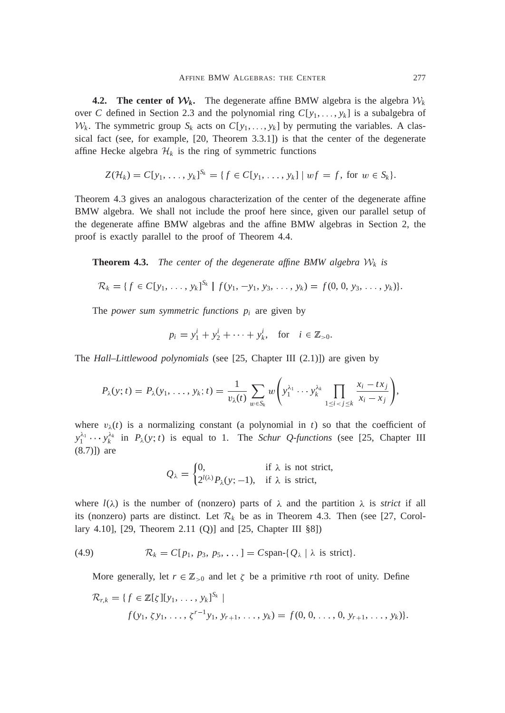**4.2.** The center of  $W_k$ . The degenerate affine BMW algebra is the algebra  $W_k$ over *C* defined in Section 2.3 and the polynomial ring  $C[y_1, \ldots, y_k]$  is a subalgebra of  $W_k$ . The symmetric group  $S_k$  acts on  $C[y_1, \ldots, y_k]$  by permuting the variables. A classical fact (see, for example, [20, Theorem 3.3.1]) is that the center of the degenerate affine Hecke algebra  $\mathcal{H}_k$  is the ring of symmetric functions

$$
Z(\mathcal{H}_k) = C[y_1, \ldots, y_k]^{S_k} = \{ f \in C[y_1, \ldots, y_k] \mid wf = f, \text{ for } w \in S_k \}.
$$

Theorem 4.3 gives an analogous characterization of the center of the degenerate affine BMW algebra. We shall not include the proof here since, given our parallel setup of the degenerate affine BMW algebras and the affine BMW algebras in Section 2, the proof is exactly parallel to the proof of Theorem 4.4.

**Theorem 4.3.** *The center of the degenerate affine BMW algebra*  $W_k$  *is* 

$$
\mathcal{R}_k = \{f \in C[y_1, \ldots, y_k]^{S_k} \mid f(y_1, -y_1, y_3, \ldots, y_k) = f(0, 0, y_3, \ldots, y_k)\}.
$$

The *power sum symmetric functions*  $p_i$  are given by

$$
p_i = y_1^i + y_2^i + \cdots + y_k^i
$$
, for  $i \in \mathbb{Z}_{>0}$ .

The *Hall–Littlewood polynomials* (see [25, Chapter III (2.1)]) are given by

$$
P_{\lambda}(y;t) = P_{\lambda}(y_1,\ldots,y_k;t) = \frac{1}{v_{\lambda}(t)}\sum_{w\in S_k} w\left(y_1^{\lambda_1}\cdots y_k^{\lambda_k}\prod_{1\leq i < j \leq k}\frac{x_i - tx_j}{x_i - x_j}\right),
$$

where  $v_{\lambda}(t)$  is a normalizing constant (a polynomial in *t*) so that the coefficient of  $y_1^{\lambda_1} \cdots y_k^{\lambda_k}$  in  $P_\lambda(y; t)$  is equal to 1. The *Schur Q-functions* (see [25, Chapter III (8.7)]) are

$$
Q_{\lambda} = \begin{cases} 0, & \text{if } \lambda \text{ is not strict,} \\ 2^{l(\lambda)} P_{\lambda}(y; -1), & \text{if } \lambda \text{ is strict,} \end{cases}
$$

where  $l(\lambda)$  is the number of (nonzero) parts of  $\lambda$  and the partition  $\lambda$  is *strict* if all its (nonzero) parts are distinct. Let  $\mathcal{R}_k$  be as in Theorem 4.3. Then (see [27, Corollary 4.10], [29, Theorem 2.11 (Q)] and [25, Chapter III §8])

(4.9) 
$$
\mathcal{R}_k = C[p_1, p_3, p_5, \dots] = Cspan\{Q_\lambda \mid \lambda \text{ is strict}\}.
$$

More generally, let  $r \in \mathbb{Z}_{\geq 0}$  and let  $\zeta$  be a primitive *r*th root of unity. Define

$$
\mathcal{R}_{r,k} = \{f \in \mathbb{Z}[\zeta][y_1, \ldots, y_k]^{S_k} \mid
$$
  

$$
f(y_1, \zeta y_1, \ldots, \zeta^{r-1}y_1, y_{r+1}, \ldots, y_k) = f(0, 0, \ldots, 0, y_{r+1}, \ldots, y_k)\}.
$$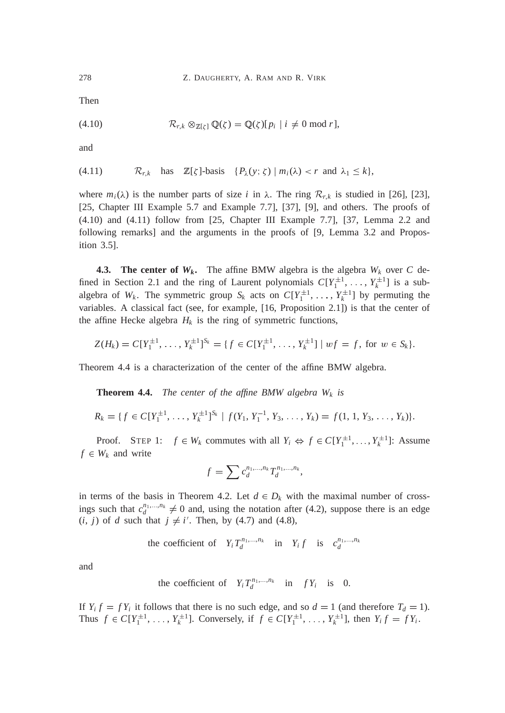Then

$$
(4.10) \t\t \mathcal{R}_{r,k} \otimes_{\mathbb{Z}[\zeta]} \mathbb{Q}(\zeta) = \mathbb{Q}(\zeta)[p_i \mid i \neq 0 \bmod r],
$$

and

(4.11) 
$$
\mathcal{R}_{r,k}
$$
 has  $\mathbb{Z}[\zeta]$ -basis  $\{P_{\lambda}(y;\zeta) \mid m_i(\lambda) < r \text{ and } \lambda_1 \leq k\},$ 

where  $m_i(\lambda)$  is the number parts of size *i* in  $\lambda$ . The ring  $\mathcal{R}_{r,k}$  is studied in [26], [23], [25, Chapter III Example 5.7 and Example 7.7], [37], [9], and others. The proofs of (4.10) and (4.11) follow from [25, Chapter III Example 7.7], [37, Lemma 2.2 and following remarks] and the arguments in the proofs of [9, Lemma 3.2 and Proposition 3.5].

**4.3. The center of**  $W_k$ **.** The affine BMW algebra is the algebra  $W_k$  over C defined in Section 2.1 and the ring of Laurent polynomials  $C[Y_1^{\pm 1}, \ldots, Y_k^{\pm 1}]$  is a subalgebra of  $W_k$ . The symmetric group  $S_k$  acts on  $C[Y_1^{\pm 1}, \ldots, Y_k^{\pm 1}]$  by permuting the variables. A classical fact (see, for example, [16, Proposition 2.1]) is that the center of the affine Hecke algebra  $H_k$  is the ring of symmetric functions,

$$
Z(H_k) = C[Y_1^{\pm 1}, \ldots, Y_k^{\pm 1}]^{S_k} = \{ f \in C[Y_1^{\pm 1}, \ldots, Y_k^{\pm 1}] \mid wf = f, \text{ for } w \in S_k \}.
$$

Theorem 4.4 is a characterization of the center of the affine BMW algebra.

**Theorem 4.4.** *The center of the affine BMW algebra*  $W_k$  *is* 

$$
R_k = \{f \in C[Y_1^{\pm 1}, \ldots, Y_k^{\pm 1}]^{S_k} \mid f(Y_1, Y_1^{-1}, Y_3, \ldots, Y_k) = f(1, 1, Y_3, \ldots, Y_k)\}.
$$

Proof. STEP 1:  $f \in W_k$  commutes with all  $Y_i \Leftrightarrow f \in C[Y_1^{\pm 1}, \ldots, Y_k^{\pm 1}]$ : Assume  $f \in W_k$  and write

$$
f = \sum c_d^{n_1, \dots, n_k} T_d^{n_1, \dots, n_k},
$$

in terms of the basis in Theorem 4.2. Let  $d \in D_k$  with the maximal number of crossings such that  $c_d^{n_1,...,n_k} \neq 0$  and, using the notation after (4.2), suppose there is an edge  $(i, j)$  of *d* such that  $j \neq i'$ . Then, by (4.7) and (4.8),

the coefficient of 
$$
Y_i T_d^{n_1,...,n_k}
$$
 in  $Y_i f$  is  $c_d^{n_1,...,n_k}$ 

and

the coefficient of 
$$
Y_i T_d^{n_1,...,n_k}
$$
 in  $fY_i$  is 0.

If  $Y_i f = f Y_i$  it follows that there is no such edge, and so  $d = 1$  (and therefore  $T_d = 1$ ). Thus  $f \in C[Y_1^{\pm 1}, \ldots, Y_k^{\pm 1}]$ . Conversely, if  $f \in C[Y_1^{\pm 1}, \ldots, Y_k^{\pm 1}]$ , then  $Y_i f = fY_i$ .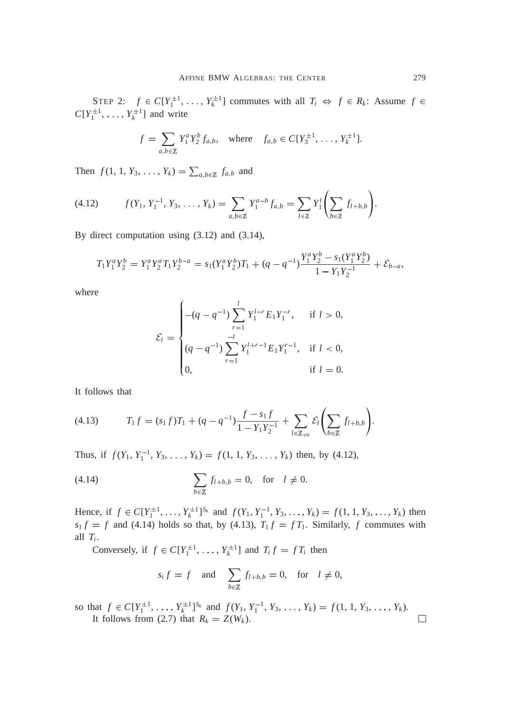STEP 2:  $f \in C[Y_1^{\pm 1}, \ldots, Y_k^{\pm 1}]$  commutes with all  $T_i \Leftrightarrow f \in R_k$ : Assume  $f \in$  $C[Y_1^{\pm 1}, \ldots, Y_k^{\pm 1}]$  and write

$$
f = \sum_{a,b \in \mathbb{Z}} Y_1^a Y_2^b f_{a,b}, \text{ where } f_{a,b} \in C[Y_3^{\pm 1}, \dots, Y_k^{\pm 1}].
$$

Then  $f(1, 1, Y_3, \ldots, Y_k) = \sum_{a, b \in \mathbb{Z}} f_{a, b}$  and

$$
(4.12) \t f(Y_1, Y_1^{-1}, Y_3, \ldots, Y_k) = \sum_{a,b \in \mathbb{Z}} Y_1^{a-b} f_{a,b} = \sum_{l \in \mathbb{Z}} Y_1^l \left( \sum_{b \in \mathbb{Z}} f_{l+b,b} \right).
$$

By direct computation using (3.12) and (3.14),

$$
T_1Y_1^aY_2^b = Y_1^aY_2^aT_1Y_2^{b-a} = s_1(Y_1^aY_2^b)T_1 + (q - q^{-1})\frac{Y_1^aY_2^b - s_1(Y_1^aY_2^b)}{1 - Y_1Y_2^{-1}} + \mathcal{E}_{b-a},
$$

where

$$
\mathcal{E}_{l} = \begin{cases}\n-(q - q^{-1}) \sum_{r=1}^{l} Y_{1}^{l-r} E_{1} Y_{1}^{-r}, & \text{if } l > 0, \\
(q - q^{-1}) \sum_{r=1}^{l} Y_{1}^{l+r-1} E_{1} Y_{1}^{r-1}, & \text{if } l < 0, \\
0, & \text{if } l = 0.\n\end{cases}
$$

It follows that

(4.13) 
$$
T_1 f = (s_1 f) T_1 + (q - q^{-1}) \frac{f - s_1 f}{1 - Y_1 Y_2^{-1}} + \sum_{l \in \mathbb{Z}_{\neq 0}} \mathcal{E}_l \left( \sum_{b \in \mathbb{Z}} f_{l+b,b} \right).
$$

Thus, if  $f(Y_1, Y_1^{-1}, Y_3, \ldots, Y_k) = f(1, 1, Y_3, \ldots, Y_k)$  then, by (4.12),

$$
\sum_{b \in \mathbb{Z}} f_{l+b,b} = 0, \quad \text{for} \quad l \neq 0.
$$

Hence, if  $f \in C[Y_1^{\pm 1},...,Y_k^{\pm 1}]^{S_k}$  and  $f(Y_1, Y_1^{-1}, Y_3,..., Y_k) = f(1, 1, Y_3,..., Y_k)$  then  $s_1 f = f$  and (4.14) holds so that, by (4.13),  $T_1 f = f T_1$ . Similarly, *f* commutes with all  $T_i$ .

Conversely, if  $f \in C[Y_1^{\pm 1}, \ldots, Y_k^{\pm 1}]$  and  $T_i f = f T_i$  then

$$
s_i f = f
$$
 and  $\sum_{b \in \mathbb{Z}} f_{l+b,b} = 0$ , for  $l \neq 0$ ,

so that  $f \in C[Y_1^{\pm 1}, \ldots, Y_k^{\pm 1}]^{S_k}$  and  $f(Y_1, Y_1^{-1}, Y_3, \ldots, Y_k) = f(1, 1, Y_3, \ldots, Y_k)$ .  $\Box$ It follows from (2.7) that  $R_k = Z(W_k)$ .

!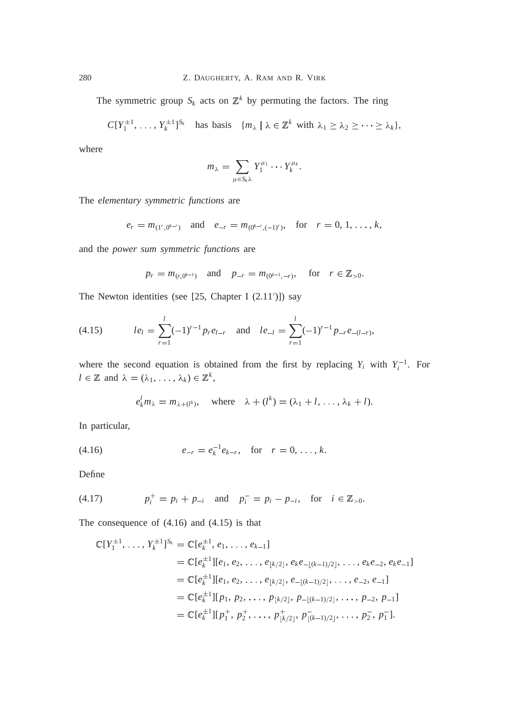The symmetric group  $S_k$  acts on  $\mathbb{Z}^k$  by permuting the factors. The ring

$$
C[Y_1^{\pm 1},\ldots,Y_k^{\pm 1}]^{S_k}
$$
 has basis  $\{m_\lambda \mid \lambda \in \mathbb{Z}^k \text{ with } \lambda_1 \geq \lambda_2 \geq \cdots \geq \lambda_k\},\$ 

where

$$
m_{\lambda} = \sum_{\mu \in S_k \lambda} Y_1^{\mu_1} \cdots Y_k^{\mu_k}.
$$

The *elementary symmetric functions* are

$$
e_r = m_{(1^r, 0^{k-r})}
$$
 and  $e_{-r} = m_{(0^{k-r}, (-1)^r)}$ , for  $r = 0, 1, ..., k$ ,

and the *power sum symmetric functions* are

$$
p_r = m_{(r,0^{k-1})}
$$
 and  $p_{-r} = m_{(0^{k-1},-r)}$ , for  $r \in \mathbb{Z}_{>0}$ .

The Newton identities (see  $[25, Chapter I (2.11')]$ ) say

(4.15) 
$$
le_{l} = \sum_{r=1}^{l} (-1)^{r-1} p_{r} e_{l-r} \text{ and } le_{-l} = \sum_{r=1}^{l} (-1)^{r-1} p_{-r} e_{-(l-r)},
$$

where the second equation is obtained from the first by replacing  $Y_i$  with  $Y_i^{-1}$ . For  $l \in \mathbb{Z}$  and  $\lambda = (\lambda_1, \ldots, \lambda_k) \in \mathbb{Z}^k$ ,

$$
e_k^l m_\lambda = m_{\lambda + (l^k)}
$$
, where  $\lambda + (l^k) = (\lambda_1 + l, \dots, \lambda_k + l)$ .

In particular,

(4.16) 
$$
e_{-r} = e_k^{-1} e_{k-r}, \text{ for } r = 0, \dots, k.
$$

Define

(4.17) 
$$
p_i^+ = p_i + p_{-i}
$$
 and  $p_i^- = p_i - p_{-i}$ , for  $i \in \mathbb{Z}_{>0}$ .

The consequence of (4.16) and (4.15) is that

$$
\mathbb{C}[Y_1^{\pm 1}, \dots, Y_k^{\pm 1}]^{S_k} = \mathbb{C}[e_k^{\pm 1}, e_1, \dots, e_{k-1}]
$$
  
\n
$$
= \mathbb{C}[e_k^{\pm 1}][e_1, e_2, \dots, e_{\lfloor k/2 \rfloor}, e_k e_{-\lfloor (k-1)/2 \rfloor}, \dots, e_k e_{-2}, e_k e_{-1}]
$$
  
\n
$$
= \mathbb{C}[e_k^{\pm 1}][e_1, e_2, \dots, e_{\lfloor k/2 \rfloor}, e_{-\lfloor (k-1)/2 \rfloor}, \dots, e_{-2}, e_{-1}]
$$
  
\n
$$
= \mathbb{C}[e_k^{\pm 1}][p_1, p_2, \dots, p_{\lfloor k/2 \rfloor}, p_{-\lfloor (k-1)/2 \rfloor}, \dots, p_{-2}, p_{-1}]
$$
  
\n
$$
= \mathbb{C}[e_k^{\pm 1}][p_1^+, p_2^+, \dots, p_{\lfloor k/2 \rfloor}, p_{\lfloor (k-1)/2 \rfloor}, \dots, p_2^-, p_1^-].
$$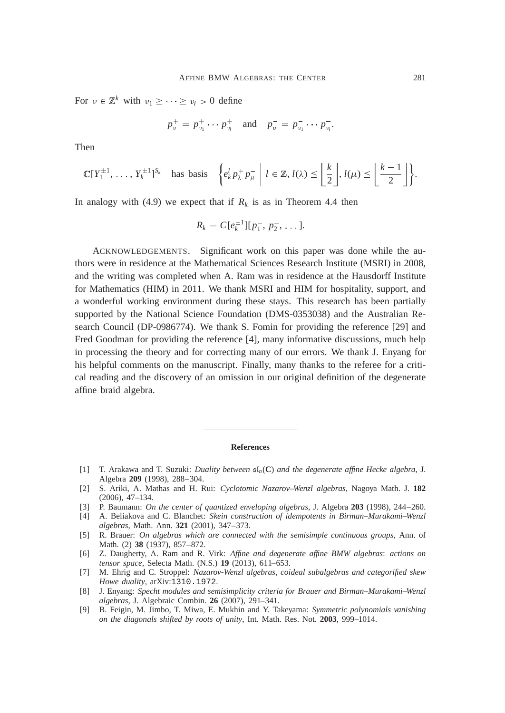For  $v \in \mathbb{Z}^k$  with  $v_1 \geq \cdots \geq v_l > 0$  define

$$
p_v^+ = p_{v_1}^+ \cdots p_{v_l}^+
$$
 and  $p_v^- = p_{v_1}^- \cdots p_{v_l}^-.$ 

Then

$$
\mathbb{C}[Y_1^{\pm 1},\ldots,Y_k^{\pm 1}]^{S_k} \quad \text{has basis} \quad \left\{e_k^l p_\lambda^+ p_\mu^- \middle| l \in \mathbb{Z}, l(\lambda) \leq \left\lfloor \frac{k}{2} \right\rfloor, l(\mu) \leq \left\lfloor \frac{k-1}{2} \right\rfloor \right\}.
$$

In analogy with (4.9) we expect that if  $R_k$  is as in Theorem 4.4 then

$$
R_k = C[e_k^{\pm 1}][p_1^-, p_2^-, \dots].
$$

ACKNOWLEDGEMENTS. Significant work on this paper was done while the authors were in residence at the Mathematical Sciences Research Institute (MSRI) in 2008, and the writing was completed when A. Ram was in residence at the Hausdorff Institute for Mathematics (HIM) in 2011. We thank MSRI and HIM for hospitality, support, and a wonderful working environment during these stays. This research has been partially supported by the National Science Foundation (DMS-0353038) and the Australian Research Council (DP-0986774). We thank S. Fomin for providing the reference [29] and Fred Goodman for providing the reference [4], many informative discussions, much help in processing the theory and for correcting many of our errors. We thank J. Enyang for his helpful comments on the manuscript. Finally, many thanks to the referee for a critical reading and the discovery of an omission in our original definition of the degenerate affine braid algebra.

#### **References**

- [1] T. Arakawa and T. Suzuki: *Duality between* sl*n*(**C**) *and the degenerate affine Hecke algebra*, J. Algebra **209** (1998), 288–304.
- [2] S. Ariki, A. Mathas and H. Rui: *Cyclotomic Nazarov–Wenzl algebras*, Nagoya Math. J. **182** (2006), 47–134.
- [3] P. Baumann: *On the center of quantized enveloping algebras*, J. Algebra **203** (1998), 244–260.
- [4] A. Beliakova and C. Blanchet: *Skein construction of idempotents in Birman–Murakami–Wenzl algebras*, Math. Ann. **321** (2001), 347–373.
- [5] R. Brauer: *On algebras which are connected with the semisimple continuous groups*, Ann. of Math. (2) **38** (1937), 857–872.
- [6] Z. Daugherty, A. Ram and R. Virk: *Affine and degenerate affine BMW algebras*: *actions on tensor space*, Selecta Math. (N.S.) **19** (2013), 611–653.
- [7] M. Ehrig and C. Stroppel: *Nazarov-Wenzl algebras*, *coideal subalgebras and categorified skew Howe duality*, arXiv:1310.1972.
- [8] J. Enyang: *Specht modules and semisimplicity criteria for Brauer and Birman–Murakami–Wenzl algebras*, J. Algebraic Combin. **26** (2007), 291–341.
- [9] B. Feigin, M. Jimbo, T. Miwa, E. Mukhin and Y. Takeyama: *Symmetric polynomials vanishing on the diagonals shifted by roots of unity*, Int. Math. Res. Not. **2003**, 999–1014.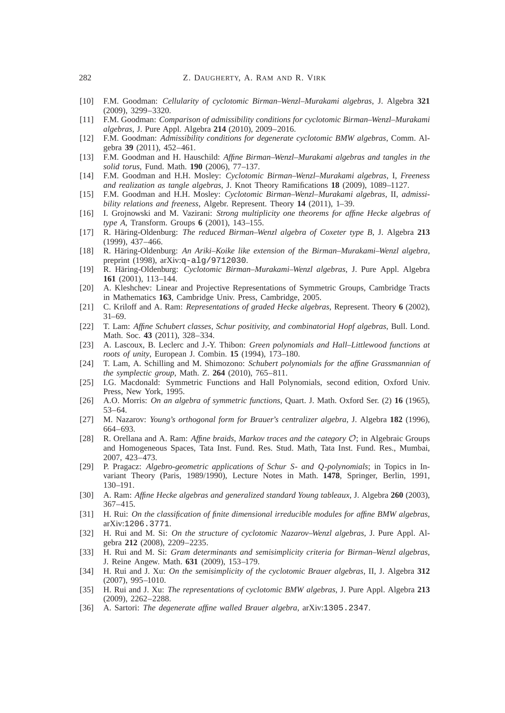- [10] F.M. Goodman: *Cellularity of cyclotomic Birman–Wenzl–Murakami algebras*, J. Algebra **321** (2009), 3299–3320.
- [11] F.M. Goodman: *Comparison of admissibility conditions for cyclotomic Birman–Wenzl–Murakami algebras*, J. Pure Appl. Algebra **214** (2010), 2009–2016.
- [12] F.M. Goodman: *Admissibility conditions for degenerate cyclotomic BMW algebras*, Comm. Algebra **39** (2011), 452–461.
- [13] F.M. Goodman and H. Hauschild: *Affine Birman–Wenzl–Murakami algebras and tangles in the solid torus*, Fund. Math. **190** (2006), 77–137.
- [14] F.M. Goodman and H.H. Mosley: *Cyclotomic Birman–Wenzl–Murakami algebras*, I, *Freeness and realization as tangle algebras*, J. Knot Theory Ramifications **18** (2009), 1089–1127.
- [15] F.M. Goodman and H.H. Mosley: *Cyclotomic Birman–Wenzl–Murakami algebras*, II, *admissibility relations and freeness*, Algebr. Represent. Theory **14** (2011), 1–39.
- [16] I. Grojnowski and M. Vazirani: *Strong multiplicity one theorems for affine Hecke algebras of type A*, Transform. Groups **6** (2001), 143–155.
- [17] R. Häring-Oldenburg: *The reduced Birman–Wenzl algebra of Coxeter type B*, J. Algebra **213** (1999), 437–466.
- [18] R. Häring-Oldenburg: *An Ariki–Koike like extension of the Birman–Murakami–Wenzl algebra*, preprint (1998), arXiv:q-alg/9712030.
- [19] R. Häring-Oldenburg: *Cyclotomic Birman–Murakami–Wenzl algebras*, J. Pure Appl. Algebra **161** (2001), 113–144.
- [20] A. Kleshchev: Linear and Projective Representations of Symmetric Groups, Cambridge Tracts in Mathematics **163**, Cambridge Univ. Press, Cambridge, 2005.
- [21] C. Kriloff and A. Ram: *Representations of graded Hecke algebras*, Represent. Theory **6** (2002), 31–69.
- [22] T. Lam: *Affine Schubert classes*, *Schur positivity*, *and combinatorial Hopf algebras*, Bull. Lond. Math. Soc. **43** (2011), 328–334.
- [23] A. Lascoux, B. Leclerc and J.-Y. Thibon: *Green polynomials and Hall–Littlewood functions at roots of unity*, European J. Combin. **15** (1994), 173–180.
- [24] T. Lam, A. Schilling and M. Shimozono: *Schubert polynomials for the affine Grassmannian of the symplectic group*, Math. Z. **264** (2010), 765–811.
- [25] I.G. Macdonald: Symmetric Functions and Hall Polynomials, second edition, Oxford Univ. Press, New York, 1995.
- [26] A.O. Morris: *On an algebra of symmetric functions*, Quart. J. Math. Oxford Ser. (2) **16** (1965), 53–64.
- [27] M. Nazarov: *Young*'*s orthogonal form for Brauer*'*s centralizer algebra*, J. Algebra **182** (1996), 664–693.
- [28] R. Orellana and A. Ram: *Affine braids*, *Markov traces and the category* O; in Algebraic Groups and Homogeneous Spaces, Tata Inst. Fund. Res. Stud. Math, Tata Inst. Fund. Res., Mumbai, 2007, 423–473.
- [29] P. Pragacz: *Algebro-geometric applications of Schur S- and Q-polynomials*; in Topics in Invariant Theory (Paris, 1989/1990), Lecture Notes in Math. **1478**, Springer, Berlin, 1991, 130–191.
- [30] A. Ram: *Affine Hecke algebras and generalized standard Young tableaux*, J. Algebra **260** (2003), 367–415.
- [31] H. Rui: *On the classification of finite dimensional irreducible modules for affine BMW algebras*, arXiv:1206.3771.
- [32] H. Rui and M. Si: *On the structure of cyclotomic Nazarov–Wenzl algebras*, J. Pure Appl. Algebra **212** (2008), 2209–2235.
- [33] H. Rui and M. Si: *Gram determinants and semisimplicity criteria for Birman–Wenzl algebras*, J. Reine Angew. Math. **631** (2009), 153–179.
- [34] H. Rui and J. Xu: *On the semisimplicity of the cyclotomic Brauer algebras*, II, J. Algebra **312** (2007), 995–1010.
- [35] H. Rui and J. Xu: *The representations of cyclotomic BMW algebras*, J. Pure Appl. Algebra **213** (2009), 2262–2288.
- [36] A. Sartori: *The degenerate affine walled Brauer algebra*, arXiv:1305.2347.